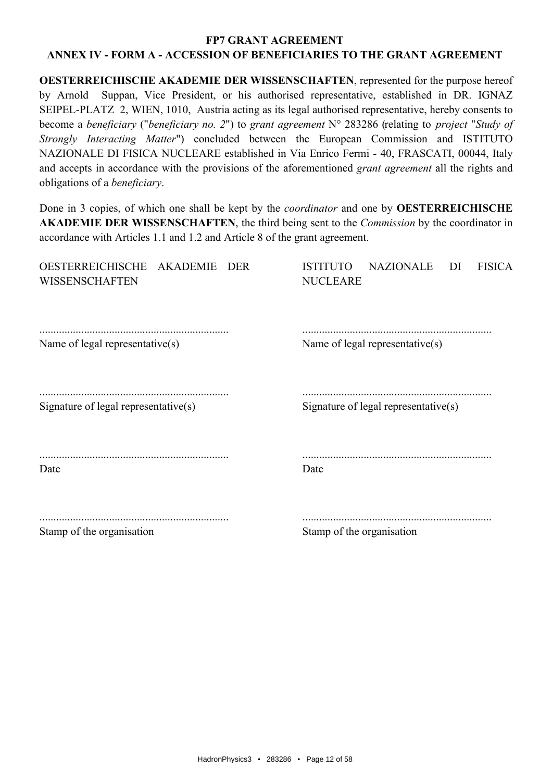# **FP7 GRANT AGREEMENT**

# ANNEX IV - FORM A - ACCESSION OF BENEFICIARIES TO THE GRANT AGREEMENT

**OESTERREICHISCHE AKADEMIE DER WISSENSCHAFTEN, represented for the purpose hereof** Suppan, Vice President, or his authorised representative, established in DR. IGNAZ by Arnold SEIPEL-PLATZ 2, WIEN, 1010. Austria acting as its legal authorised representative, hereby consents to become a beneficiary ("beneficiary no. 2") to grant agreement  $N^{\circ}$  283286 (relating to project "Study of Strongly Interacting Matter") concluded between the European Commission and ISTITUTO NAZIONALE DI FISICA NUCLEARE established in Via Enrico Fermi - 40, FRASCATI, 00044, Italy and accepts in accordance with the provisions of the aforementioned *grant agreement* all the rights and obligations of a *beneficiary*.

Done in 3 copies, of which one shall be kept by the *coordinator* and one by **OESTERREICHISCHE AKADEMIE DER WISSENSCHAFTEN**, the third being sent to the *Commission* by the coordinator in accordance with Articles 1.1 and 1.2 and Article 8 of the grant agreement.

| OESTERREICHISCHE AKADEMIE<br>DER<br><b>WISSENSCHAFTEN</b> | <b>NAZIONALE</b><br><b>ISTITUTO</b><br>DI<br><b>FISICA</b><br><b>NUCLEARE</b> |
|-----------------------------------------------------------|-------------------------------------------------------------------------------|
| Name of legal representative(s)                           | Name of legal representative(s)                                               |
| Signature of legal representative $(s)$                   | Signature of legal representative(s)                                          |
| Date                                                      | Date                                                                          |
| Stamp of the organisation                                 | Stamp of the organisation                                                     |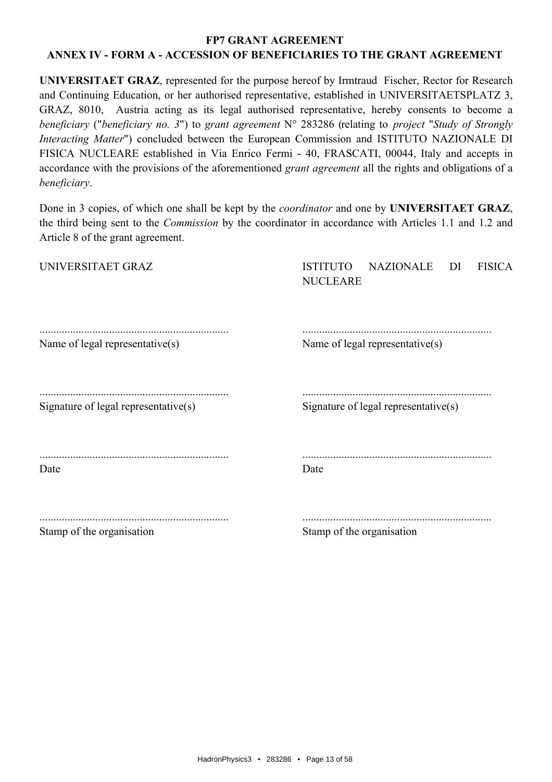UNIVERSITAET GRAZ, represented for the purpose hereof by Irmtraud Fischer, Rector for Research and Continuing Education, or her authorised representative, established in UNIVERSITAETSPLATZ 3, GRAZ, 8010, Austria acting as its legal authorised representative, hereby consents to become a beneficiary ("beneficiary no. 3") to grant agreement  $N^{\circ}$  283286 (relating to project "Study of Strongly *Interacting Matter*") concluded between the European Commission and ISTITUTO NAZIONALE DI FISICA NUCLEARE established in Via Enrico Fermi - 40, FRASCATI, 00044, Italy and accepts in accordance with the provisions of the aforementioned *grant agreement* all the rights and obligations of a beneficiary.

Done in 3 copies, of which one shall be kept by the *coordinator* and one by **UNIVERSITAET GRAZ**, the third being sent to the *Commission* by the coordinator in accordance with Articles 1.1 and 1.2 and Article 8 of the grant agreement.

| UNIVERSITAET GRAZ                    | <b>ISTITUTO</b><br>NAZIONALE<br><b>FISICA</b><br>DI<br><b>NUCLEARE</b> |
|--------------------------------------|------------------------------------------------------------------------|
| Name of legal representative(s)      | Name of legal representative(s)                                        |
| Signature of legal representative(s) | Signature of legal representative $(s)$                                |
| Date                                 | Date                                                                   |
| Stamp of the organisation            | Stamp of the organisation                                              |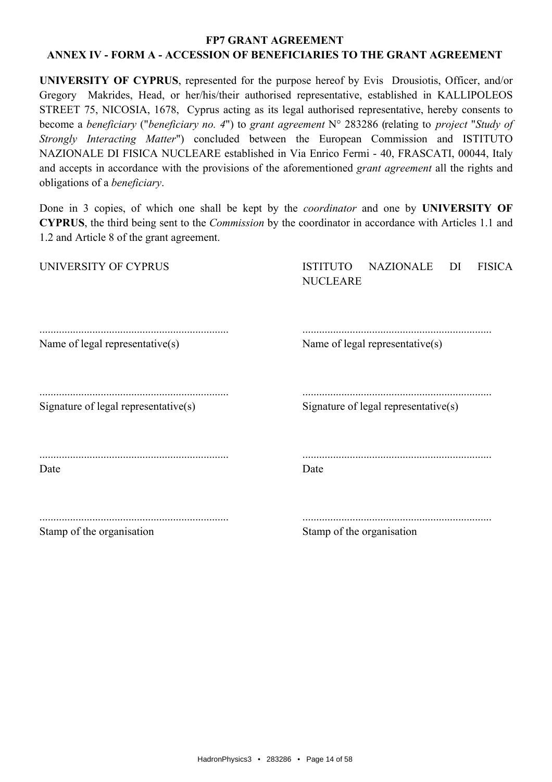UNIVERSITY OF CYPRUS, represented for the purpose hereof by Evis Drousiotis, Officer, and/or Gregory Makrides, Head, or her/his/their authorised representative, established in KALLIPOLEOS STREET 75, NICOSIA, 1678. Cyprus acting as its legal authorised representative, hereby consents to become a beneficiary ("beneficiary no. 4") to grant agreement  $N^{\circ}$  283286 (relating to project "Study of Strongly Interacting Matter") concluded between the European Commission and ISTITUTO NAZIONALE DI FISICA NUCLEARE established in Via Enrico Fermi - 40, FRASCATI, 00044, Italy and accepts in accordance with the provisions of the aforementioned *grant agreement* all the rights and obligations of a *beneficiary*.

Done in 3 copies, of which one shall be kept by the *coordinator* and one by **UNIVERSITY OF CYPRUS**, the third being sent to the *Commission* by the coordinator in accordance with Articles 1.1 and 1.2 and Article 8 of the grant agreement.

| Stamp of the organisation            | Stamp of the organisation                                                     |
|--------------------------------------|-------------------------------------------------------------------------------|
| Date                                 | Date                                                                          |
| Signature of legal representative(s) | Signature of legal representative(s)                                          |
| Name of legal representative(s)      | Name of legal representative(s)                                               |
| UNIVERSITY OF CYPRUS                 | <b>ISTITUTO</b><br><b>NAZIONALE</b><br><b>FISICA</b><br>DI<br><b>NUCLEARE</b> |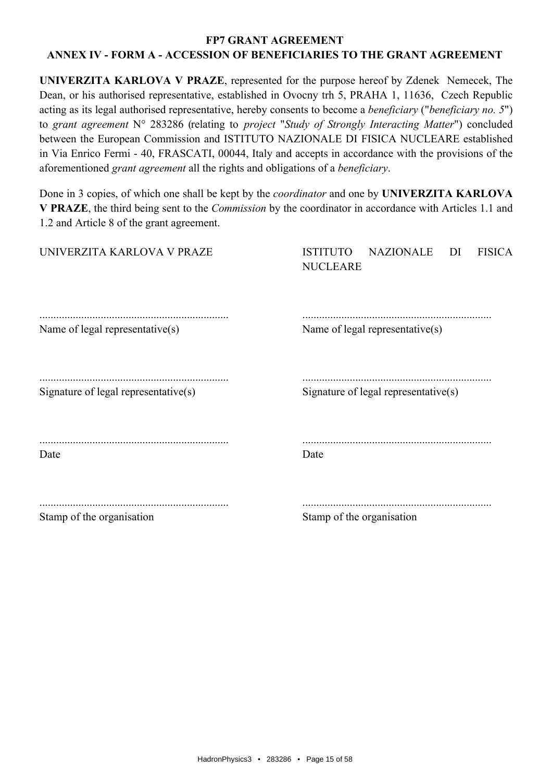UNIVERZITA KARLOVA V PRAZE, represented for the purpose hereof by Zdenek Nemecek, The Dean, or his authorised representative, established in Ovocny trh 5, PRAHA 1, 11636, Czech Republic acting as its legal authorised representative, hereby consents to become a *beneficiary* ("*beneficiary no.* 5") to grant agreement N° 283286 (relating to project "Study of Strongly Interacting Matter") concluded between the European Commission and ISTITUTO NAZIONALE DI FISICA NUCLEARE established in Via Enrico Fermi - 40, FRASCATI, 00044, Italy and accepts in accordance with the provisions of the aforementioned grant agreement all the rights and obligations of a *beneficiary*.

Done in 3 copies, of which one shall be kept by the *coordinator* and one by UNIVERZITA KARLOVA V PRAZE, the third being sent to the *Commission* by the coordinator in accordance with Articles 1.1 and 1.2 and Article 8 of the grant agreement.

| UNIVERZITA KARLOVA V PRAZE                  | NAZIONALE<br><b>ISTITUTO</b><br>DI<br><b>FISICA</b><br><b>NUCLEARE</b> |
|---------------------------------------------|------------------------------------------------------------------------|
| Name of legal representative(s)             | Name of legal representative(s)                                        |
| Signature of legal representative(s)        | Signature of legal representative(s)                                   |
| Date                                        | Date                                                                   |
| $Q_{\text{boundary}}$ of the expense of exp | $Q$ to $\mathbf{a}$ of the opposition                                  |

Stamp of the organisation

Stamp of the organisation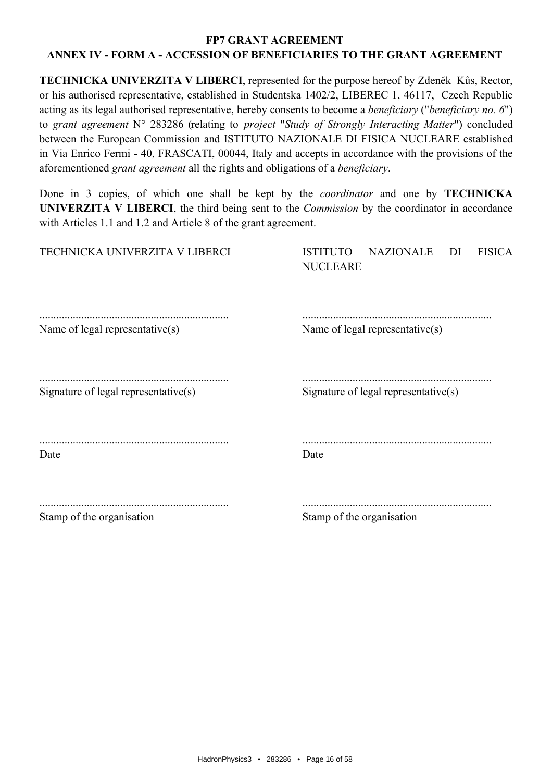**TECHNICKA UNIVERZITA V LIBERCI, represented for the purpose hereof by Zdeněk Kůs, Rector,** or his authorised representative, established in Studentska 1402/2, LIBEREC 1, 46117, Czech Republic acting as its legal authorised representative, hereby consents to become a *beneficiary* ("*beneficiary no.* 6") to grant agreement N° 283286 (relating to project "Study of Strongly Interacting Matter") concluded between the European Commission and ISTITUTO NAZIONALE DI FISICA NUCLEARE established in Via Enrico Fermi - 40, FRASCATI, 00044, Italy and accepts in accordance with the provisions of the aforementioned grant agreement all the rights and obligations of a *beneficiary*.

Done in 3 copies, of which one shall be kept by the *coordinator* and one by **TECHNICKA** UNIVERZITA V LIBERCI, the third being sent to the *Commission* by the coordinator in accordance with Articles 1.1 and 1.2 and Article 8 of the grant agreement.

| TECHNICKA UNIVERZITA V LIBERCI       | <b>NAZIONALE</b><br><b>ISTITUTO</b><br>DI<br><b>FISICA</b><br><b>NUCLEARE</b> |
|--------------------------------------|-------------------------------------------------------------------------------|
| Name of legal representative(s)      | Name of legal representative(s)                                               |
| Signature of legal representative(s) | Signature of legal representative $(s)$                                       |
| Date                                 | Date                                                                          |
| Stamp of the organisation            | Stamp of the organisation                                                     |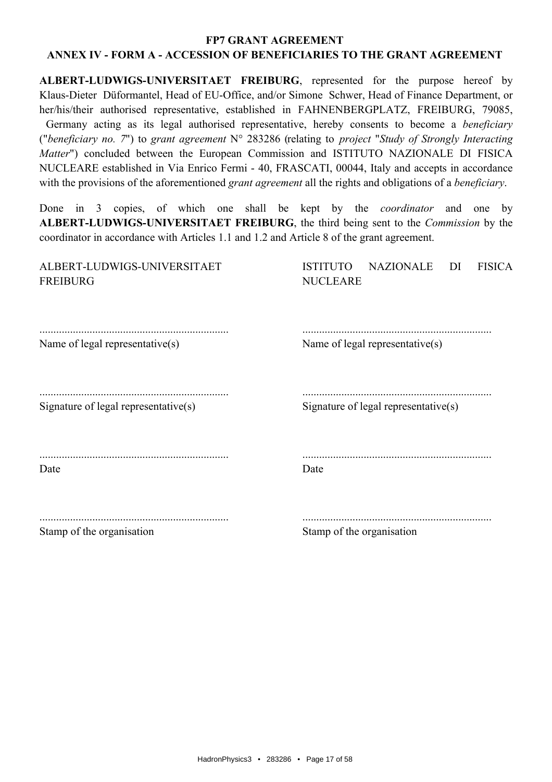ALBERT-LUDWIGS-UNIVERSITAET FREIBURG, represented for the purpose hereof by Klaus-Dieter Düformantel, Head of EU-Office, and/or Simone Schwer, Head of Finance Department, or her/his/their authorised representative, established in FAHNENBERGPLATZ, FREIBURG, 79085, Germany acting as its legal authorised representative, hereby consents to become a *beneficiary* ("beneficiary no. 7") to grant agreement  $N^{\circ}$  283286 (relating to project "Study of Strongly Interacting Matter") concluded between the European Commission and ISTITUTO NAZIONALE DI FISICA NUCLEARE established in Via Enrico Fermi - 40, FRASCATI, 00044, Italy and accepts in accordance with the provisions of the aforementioned *grant agreement* all the rights and obligations of a *beneficiary*.

copies, of which one shall be kept by the *coordinator* and one by Done in  $3$ ALBERT-LUDWIGS-UNIVERSITAET FREIBURG, the third being sent to the *Commission* by the coordinator in accordance with Articles 1.1 and 1.2 and Article 8 of the grant agreement.

| Stamp of the organisation                      | Stamp of the organisation                                         |
|------------------------------------------------|-------------------------------------------------------------------|
| Date                                           | Date                                                              |
| Signature of legal representative $(s)$        | Signature of legal representative $(s)$                           |
| Name of legal representative(s)                | Name of legal representative(s)                                   |
| ALBERT-LUDWIGS-UNIVERSITAET<br><b>FREIBURG</b> | ISTITUTO<br>NAZIONALE<br>- DI<br><b>FISICA</b><br><b>NUCLEARE</b> |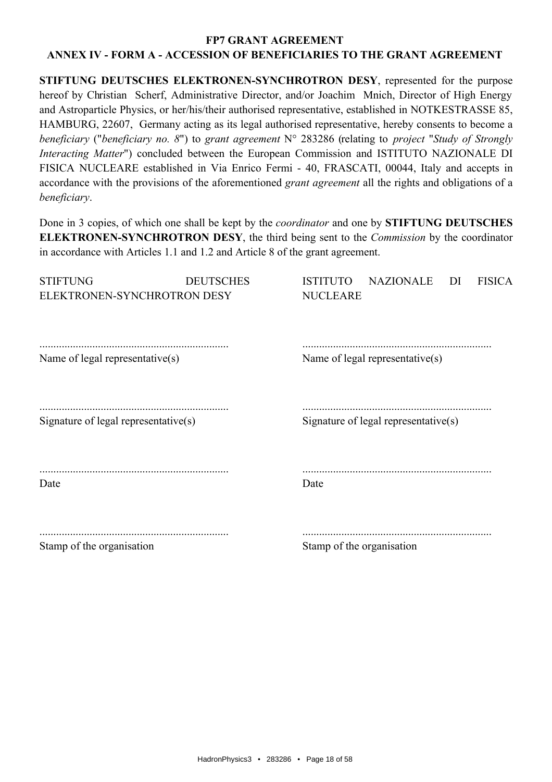#### **FP7 GRANT AGREEMENT**

# ANNEX IV - FORM A - ACCESSION OF BENEFICIARIES TO THE GRANT AGREEMENT

STIFTUNG DEUTSCHES ELEKTRONEN-SYNCHROTRON DESY, represented for the purpose hereof by Christian Scherf, Administrative Director, and/or Joachim Mnich, Director of High Energy and Astroparticle Physics, or her/his/their authorised representative, established in NOTKESTRASSE 85, HAMBURG, 22607, Germany acting as its legal authorised representative, hereby consents to become a beneficiary ("beneficiary no. 8") to grant agreement  $N^{\circ}$  283286 (relating to project "Study of Strongly Interacting Matter") concluded between the European Commission and ISTITUTO NAZIONALE DI FISICA NUCLEARE established in Via Enrico Fermi - 40, FRASCATI, 00044, Italy and accepts in accordance with the provisions of the aforementioned *grant agreement* all the rights and obligations of a beneficiary.

Done in 3 copies, of which one shall be kept by the *coordinator* and one by **STIFTUNG DEUTSCHES ELEKTRONEN-SYNCHROTRON DESY**, the third being sent to the *Commission* by the coordinator in accordance with Articles 1.1 and 1.2 and Article 8 of the grant agreement.

| <b>STIFTUNG</b><br>ELEKTRONEN-SYNCHROTRON DESY | <b>DEUTSCHES</b> | <b>NAZIONALE</b><br><b>ISTITUTO</b><br><b>NUCLEARE</b> | DI | <b>FISICA</b> |
|------------------------------------------------|------------------|--------------------------------------------------------|----|---------------|
| Name of legal representative(s)                |                  | Name of legal representative(s)                        |    |               |
| Signature of legal representative $(s)$        |                  | Signature of legal representative(s)                   |    |               |
| Date                                           |                  | Date                                                   |    |               |
| Stamp of the organisation                      |                  | Stamp of the organisation                              |    |               |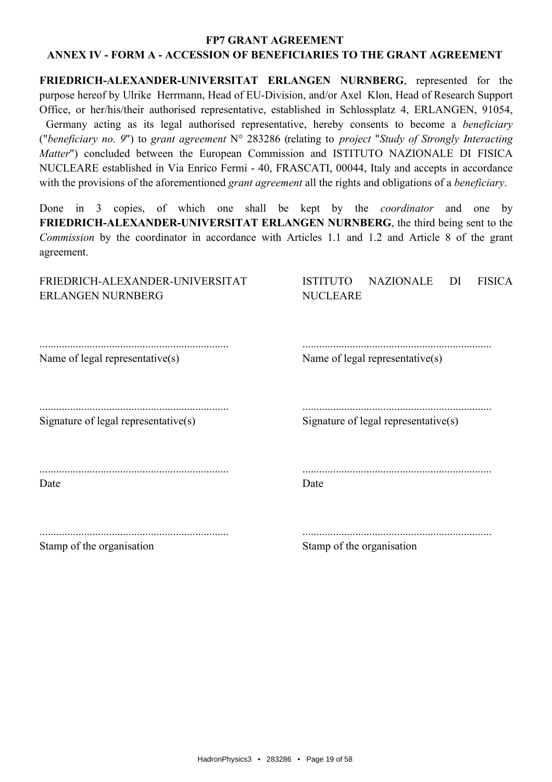FRIEDRICH-ALEXANDER-UNIVERSITAT ERLANGEN NURNBERG, represented for the purpose hereof by Ulrike Herrmann, Head of EU-Division, and/or Axel Klon, Head of Research Support Office, or her/his/their authorised representative, established in Schlossplatz 4, ERLANGEN, 91054, Germany acting as its legal authorised representative, hereby consents to become a *beneficiary* ("beneficiary no. 9") to grant agreement  $N^{\circ}$  283286 (relating to project "Study of Strongly Interacting Matter") concluded between the European Commission and ISTITUTO NAZIONALE DI FISICA NUCLEARE established in Via Enrico Fermi - 40, FRASCATI, 00044, Italy and accepts in accordance with the provisions of the aforementioned *grant agreement* all the rights and obligations of a *beneficiary*.

copies, of which one shall be kept by the *coordinator* and one by Done in  $3$ FRIEDRICH-ALEXANDER-UNIVERSITAT ERLANGEN NURNBERG, the third being sent to the Commission by the coordinator in accordance with Articles 1.1 and 1.2 and Article 8 of the grant agreement.

| FRIEDRICH-ALEXANDER-UNIVERSITAT<br><b>ERLANGEN NURNBERG</b> | <b>ISTITUTO</b><br><b>NAZIONALE</b><br>DI<br><b>FISICA</b><br><b>NUCLEARE</b> |
|-------------------------------------------------------------|-------------------------------------------------------------------------------|
| Name of legal representative(s)                             | Name of legal representative $(s)$                                            |
| Signature of legal representative(s)                        | Signature of legal representative $(s)$                                       |
| Date                                                        | Date                                                                          |
| Stamp of the organisation                                   | Stamp of the organisation                                                     |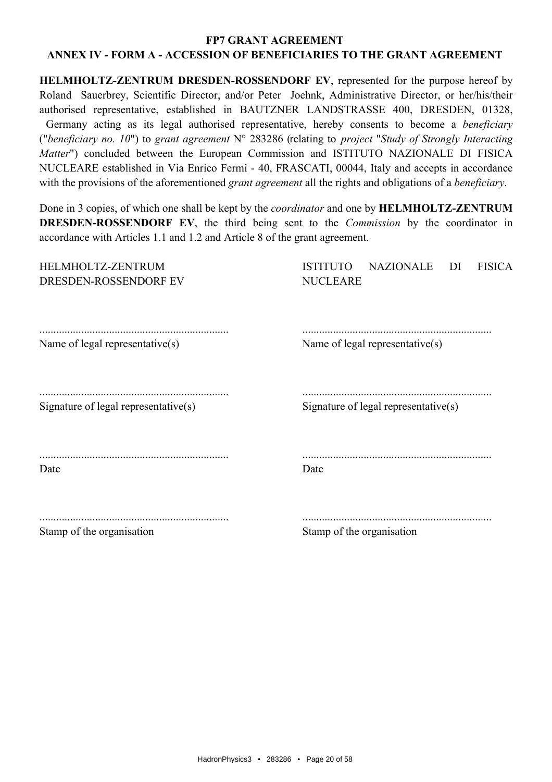HELMHOLTZ-ZENTRUM DRESDEN-ROSSENDORF EV, represented for the purpose hereof by Roland Sauerbrey, Scientific Director, and/or Peter Joehnk, Administrative Director, or her/his/their authorised representative, established in BAUTZNER LANDSTRASSE 400, DRESDEN, 01328, Germany acting as its legal authorised representative, hereby consents to become a *beneficiary* ("beneficiary no. 10") to grant agreement  $N^{\circ}$  283286 (relating to project "Study of Strongly Interacting Matter") concluded between the European Commission and ISTITUTO NAZIONALE DI FISICA NUCLEARE established in Via Enrico Fermi - 40, FRASCATI, 00044, Italy and accepts in accordance with the provisions of the aforementioned *grant agreement* all the rights and obligations of a *beneficiary*.

Done in 3 copies, of which one shall be kept by the *coordinator* and one by **HELMHOLTZ-ZENTRUM DRESDEN-ROSSENDORF EV**, the third being sent to the *Commission* by the coordinator in accordance with Articles 1.1 and 1.2 and Article 8 of the grant agreement.

| HELMHOLTZ-ZENTRUM<br>DRESDEN-ROSSENDORF EV | <b>NAZIONALE</b><br><b>ISTITUTO</b><br><b>FISICA</b><br>DI<br><b>NUCLEARE</b> |
|--------------------------------------------|-------------------------------------------------------------------------------|
| Name of legal representative(s)            | Name of legal representative(s)                                               |
| Signature of legal representative $(s)$    | Signature of legal representative(s)                                          |
| Date                                       | Date                                                                          |
| Stamp of the organisation                  | Stamp of the organisation                                                     |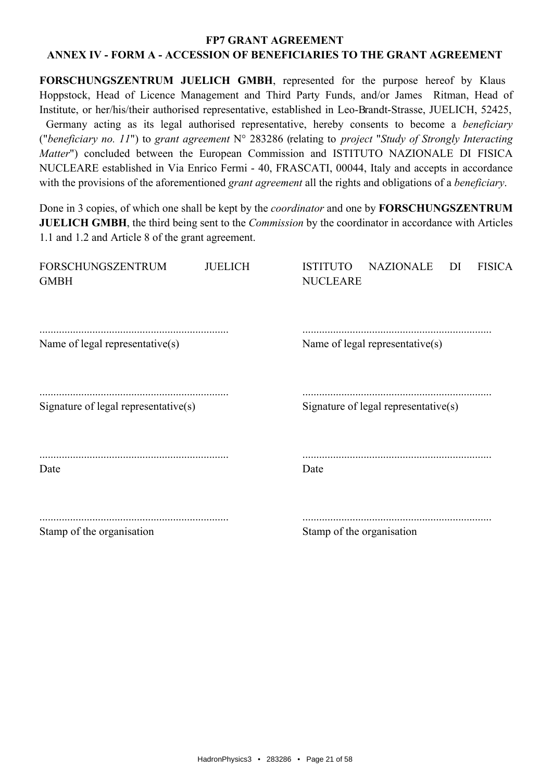FORSCHUNGSZENTRUM JUELICH GMBH, represented for the purpose hereof by Klaus Hoppstock, Head of Licence Management and Third Party Funds, and/or James Ritman, Head of Institute, or her/his/their authorised representative, established in Leo-Brandt-Strasse, JUELICH, 52425, Germany acting as its legal authorised representative, hereby consents to become a *beneficiary* ("beneficiary no. 11") to grant agreement  $N^{\circ}$  283286 (relating to project "Study of Strongly Interacting Matter") concluded between the European Commission and ISTITUTO NAZIONALE DI FISICA NUCLEARE established in Via Enrico Fermi - 40, FRASCATI, 00044, Italy and accepts in accordance with the provisions of the aforementioned *grant agreement* all the rights and obligations of a *beneficiary*.

Done in 3 copies, of which one shall be kept by the *coordinator* and one by **FORSCHUNGSZENTRUM JUELICH GMBH**, the third being sent to the *Commission* by the coordinator in accordance with Articles 1.1 and 1.2 and Article 8 of the grant agreement.

| <b>FORSCHUNGSZENTRUM</b><br><b>GMBH</b> | <b>JUELICH</b> | <b>NAZIONALE</b><br><b>FISICA</b><br><b>ISTITUTO</b><br>DI<br><b>NUCLEARE</b> |
|-----------------------------------------|----------------|-------------------------------------------------------------------------------|
| Name of legal representative(s)         |                | Name of legal representative(s)                                               |
| Signature of legal representative(s)    |                | Signature of legal representative(s)                                          |
| Date                                    |                | Date                                                                          |
| Stamp of the organisation               |                | Stamp of the organisation                                                     |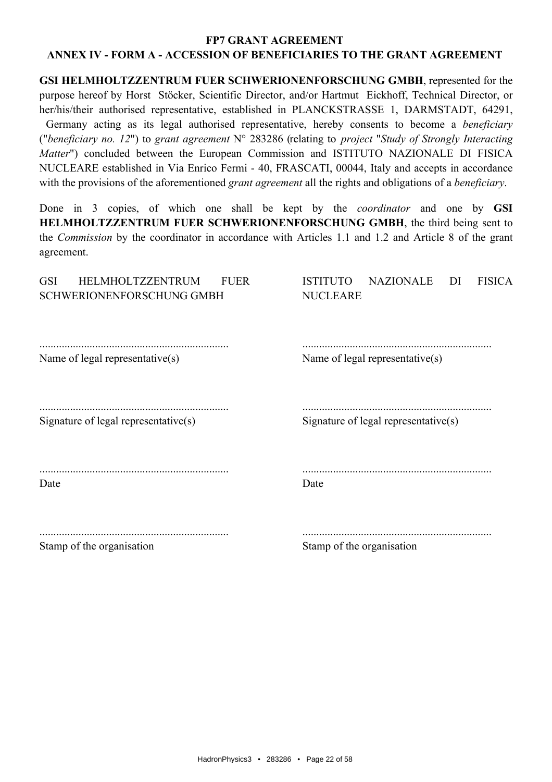#### **FP7 GRANT AGREEMENT**

#### ANNEX IV - FORM A - ACCESSION OF BENEFICIARIES TO THE GRANT AGREEMENT

GSI HELMHOLTZZENTRUM FUER SCHWERIONENFORSCHUNG GMBH, represented for the purpose hereof by Horst Stöcker, Scientific Director, and/or Hartmut Eickhoff, Technical Director, or her/his/their authorised representative, established in PLANCKSTRASSE 1, DARMSTADT, 64291, Germany acting as its legal authorised representative, hereby consents to become a *beneficiary* ("beneficiary no. 12") to grant agreement  $N^{\circ}$  283286 (relating to project "Study of Strongly Interacting Matter") concluded between the European Commission and ISTITUTO NAZIONALE DI FISICA NUCLEARE established in Via Enrico Fermi - 40, FRASCATI, 00044, Italy and accepts in accordance with the provisions of the aforementioned *grant agreement* all the rights and obligations of a *beneficiary*.

Done in 3 copies, of which one shall be kept by the *coordinator* and one by **GSI** HELMHOLTZZENTRUM FUER SCHWERIONENFORSCHUNG GMBH, the third being sent to the Commission by the coordinator in accordance with Articles 1.1 and 1.2 and Article 8 of the grant agreement.

| <b>GSI</b><br><b>HELMHOLTZZENTRUM</b><br><b>FUER</b><br>SCHWERIONENFORSCHUNG GMBH | <b>ISTITUTO</b><br><b>NAZIONALE</b><br><b>FISICA</b><br>DI<br><b>NUCLEARE</b> |
|-----------------------------------------------------------------------------------|-------------------------------------------------------------------------------|
| Name of legal representative(s)                                                   | Name of legal representative(s)                                               |
| Signature of legal representative(s)                                              | Signature of legal representative $(s)$                                       |
| Date                                                                              | Date                                                                          |
| Stamp of the organisation                                                         | Stamp of the organisation                                                     |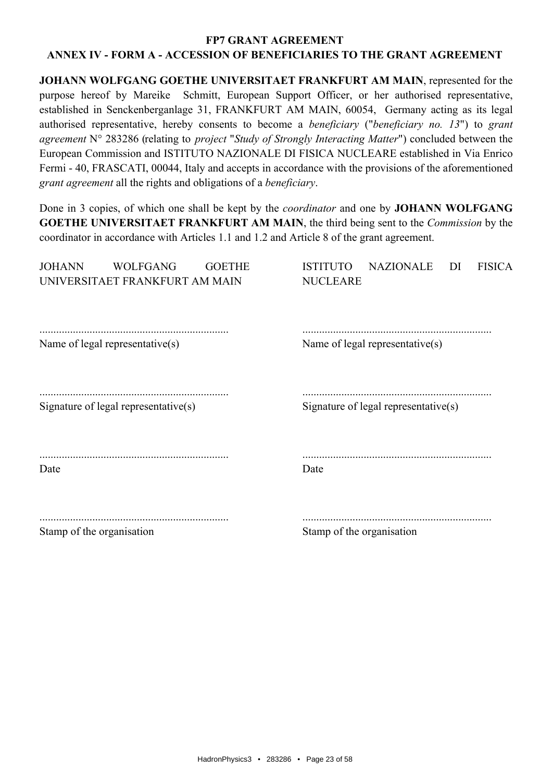JOHANN WOLFGANG GOETHE UNIVERSITAET FRANKFURT AM MAIN, represented for the purpose hereof by Mareike Schmitt, European Support Officer, or her authorised representative, established in Senckenberganlage 31, FRANKFURT AM MAIN, 60054. Germany acting as its legal authorised representative, hereby consents to become a *beneficiary* ("*beneficiary no. 13*") to grant agreement N° 283286 (relating to *project "Study of Strongly Interacting Matter"*) concluded between the European Commission and ISTITUTO NAZIONALE DI FISICA NUCLEARE established in Via Enrico Fermi - 40, FRASCATI, 00044, Italy and accepts in accordance with the provisions of the aforementioned grant agreement all the rights and obligations of a beneficiary.

Done in 3 copies, of which one shall be kept by the *coordinator* and one by **JOHANN WOLFGANG GOETHE UNIVERSITAET FRANKFURT AM MAIN, the third being sent to the Commission by the** coordinator in accordance with Articles 1.1 and 1.2 and Article 8 of the grant agreement.

| <b>JOHANN</b><br><b>WOLFGANG</b><br><b>GOETHE</b><br>UNIVERSITAET FRANKFURT AM MAIN | <b>ISTITUTO</b><br><b>NAZIONALE</b><br><b>FISICA</b><br>DI<br><b>NUCLEARE</b> |
|-------------------------------------------------------------------------------------|-------------------------------------------------------------------------------|
| Name of legal representative(s)                                                     | Name of legal representative(s)                                               |
| Signature of legal representative(s)                                                | Signature of legal representative $(s)$                                       |
| Date                                                                                | Date                                                                          |
| Stamp of the organisation                                                           | Stamp of the organisation                                                     |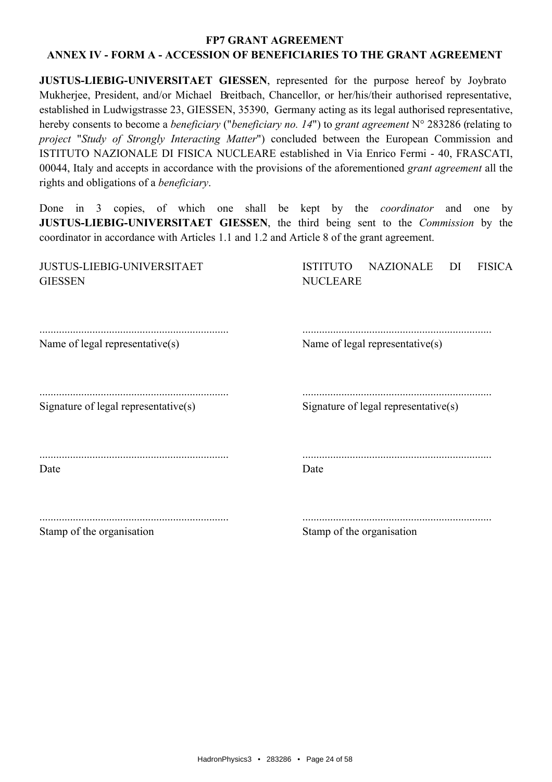**JUSTUS-LIEBIG-UNIVERSITAET GIESSEN**, represented for the purpose hereof by Joybrato Mukherjee, President, and/or Michael Breitbach, Chancellor, or her/his/their authorised representative, established in Ludwigstrasse 23, GIESSEN, 35390, Germany acting as its legal authorised representative, hereby consents to become a *beneficiary* ("*beneficiary no. 14*") to grant agreement  $N^{\circ}$  283286 (relating to project "Study of Strongly Interacting Matter") concluded between the European Commission and ISTITUTO NAZIONALE DI FISICA NUCLEARE established in Via Enrico Fermi - 40, FRASCATI, 00044, Italy and accepts in accordance with the provisions of the aforementioned *grant agreement* all the rights and obligations of a *beneficiary*.

copies, of which one shall be kept by the *coordinator* and one Done in  $3$  $bv$ **JUSTUS-LIEBIG-UNIVERSITAET GIESSEN**, the third being sent to the *Commission* by the coordinator in accordance with Articles 1.1 and 1.2 and Article 8 of the grant agreement.

| <b>JUSTUS-LIEBIG-UNIVERSITAET</b><br><b>GIESSEN</b> | <b>ISTITUTO</b><br><b>NAZIONALE</b><br><b>FISICA</b><br>DI<br><b>NUCLEARE</b> |
|-----------------------------------------------------|-------------------------------------------------------------------------------|
| Name of legal representative $(s)$                  | Name of legal representative(s)                                               |
| Signature of legal representative(s)                | Signature of legal representative(s)                                          |
| Date                                                | Date                                                                          |
| Stamp of the organisation                           | Stamp of the organisation                                                     |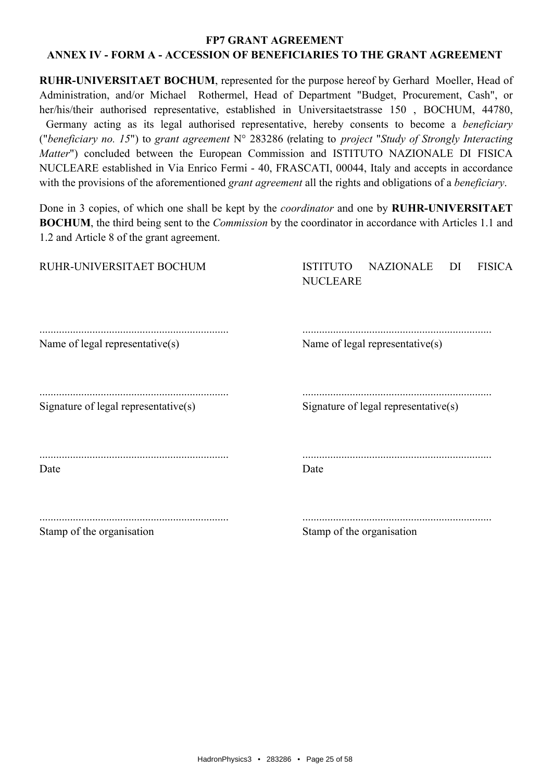**RUHR-UNIVERSITAET BOCHUM**, represented for the purpose hereof by Gerhard Moeller, Head of Administration, and/or Michael Rothermel, Head of Department "Budget, Procurement, Cash", or her/his/their authorised representative, established in Universitaetstrasse 150, BOCHUM, 44780, Germany acting as its legal authorised representative, hereby consents to become a *beneficiary* ("beneficiary no. 15") to grant agreement  $N^{\circ}$  283286 (relating to project "Study of Strongly Interacting Matter") concluded between the European Commission and ISTITUTO NAZIONALE DI FISICA NUCLEARE established in Via Enrico Fermi - 40, FRASCATI, 00044, Italy and accepts in accordance with the provisions of the aforementioned *grant agreement* all the rights and obligations of a *beneficiary*.

Done in 3 copies, of which one shall be kept by the *coordinator* and one by **RUHR-UNIVERSITAET BOCHUM**, the third being sent to the *Commission* by the coordinator in accordance with Articles 1.1 and 1.2 and Article 8 of the grant agreement.

| RUHR-UNIVERSITAET BOCHUM             | <b>NAZIONALE</b><br><b>FISICA</b><br><b>ISTITUTO</b><br>DI<br><b>NUCLEARE</b> |
|--------------------------------------|-------------------------------------------------------------------------------|
| Name of legal representative(s)      | Name of legal representative(s)                                               |
| Signature of legal representative(s) | Signature of legal representative(s)                                          |
| Date                                 | Date                                                                          |
| Stamp of the organisation            | Stamp of the organisation                                                     |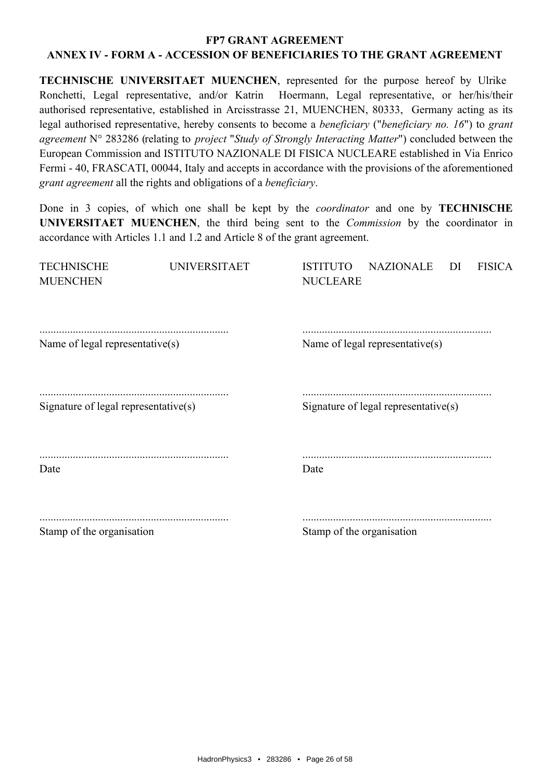**TECHNISCHE UNIVERSITAET MUENCHEN, represented for the purpose hereof by Ulrike** Ronchetti, Legal representative, and/or Katrin Hoermann, Legal representative, or her/his/their authorised representative, established in Arcisstrasse 21, MUENCHEN, 80333, Germany acting as its legal authorised representative, hereby consents to become a *beneficiary* ("*beneficiary no. 16*") to grant agreement N° 283286 (relating to *project "Study of Strongly Interacting Matter"*) concluded between the European Commission and ISTITUTO NAZIONALE DI FISICA NUCLEARE established in Via Enrico Fermi - 40, FRASCATI, 00044, Italy and accepts in accordance with the provisions of the aforementioned grant agreement all the rights and obligations of a beneficiary.

Done in 3 copies, of which one shall be kept by the *coordinator* and one by **TECHNISCHE** UNIVERSITAET MUENCHEN, the third being sent to the *Commission* by the coordinator in accordance with Articles 1.1 and 1.2 and Article 8 of the grant agreement.

| <b>TECHNISCHE</b><br><b>MUENCHEN</b> | <b>UNIVERSITAET</b> | <b>NAZIONALE</b><br><b>ISTITUTO</b><br><b>FISICA</b><br>DI<br><b>NUCLEARE</b> |
|--------------------------------------|---------------------|-------------------------------------------------------------------------------|
| Name of legal representative(s)      |                     | Name of legal representative(s)                                               |
| Signature of legal representative(s) |                     | Signature of legal representative $(s)$                                       |
| Date                                 |                     | Date                                                                          |
| Stamp of the organisation            |                     | Stamp of the organisation                                                     |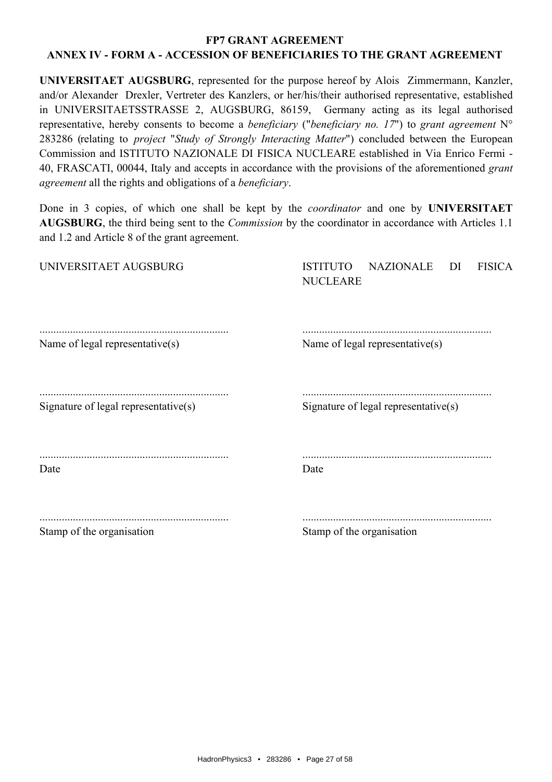UNIVERSITAET AUGSBURG, represented for the purpose hereof by Alois Zimmermann, Kanzler, and/or Alexander Drexler, Vertreter des Kanzlers, or her/his/their authorised representative, established in UNIVERSITAETSSTRASSE 2, AUGSBURG, 86159, Germany acting as its legal authorised representative, hereby consents to become a *beneficiary* ("*beneficiary no. 17*") to grant agreement  $N^{\circ}$ 283286 (relating to *project "Study of Strongly Interacting Matter"*) concluded between the European Commission and ISTITUTO NAZIONALE DI FISICA NUCLEARE established in Via Enrico Fermi -40, FRASCATI, 00044, Italy and accepts in accordance with the provisions of the aforementioned grant agreement all the rights and obligations of a beneficiary.

Done in 3 copies, of which one shall be kept by the *coordinator* and one by UNIVERSITAET AUGSBURG, the third being sent to the *Commission* by the coordinator in accordance with Articles 1.1 and 1.2 and Article 8 of the grant agreement.

| UNIVERSITAET AUGSBURG                | <b>NAZIONALE</b><br><b>ISTITUTO</b><br><b>FISICA</b><br>DI<br><b>NUCLEARE</b> |
|--------------------------------------|-------------------------------------------------------------------------------|
| Name of legal representative(s)      | Name of legal representative(s)                                               |
| Signature of legal representative(s) | Signature of legal representative(s)                                          |
| Date                                 | Date                                                                          |
| Stamp of the organisation            | Stamp of the organisation                                                     |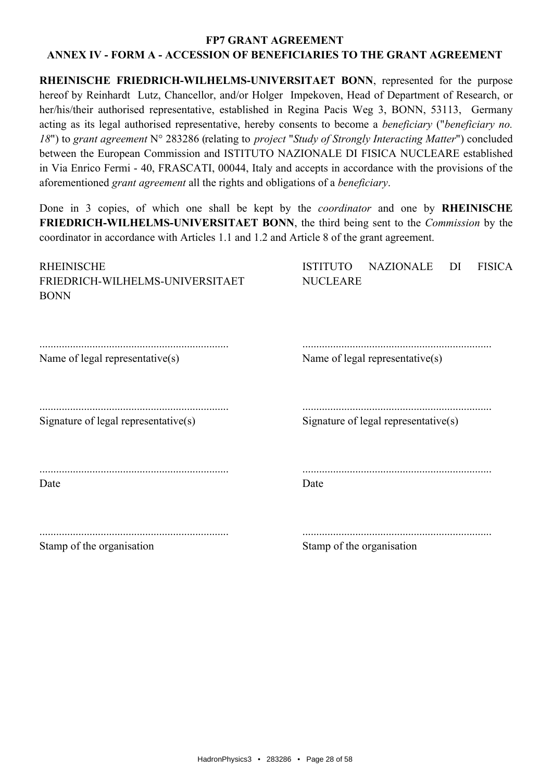RHEINISCHE FRIEDRICH-WILHELMS-UNIVERSITAET BONN, represented for the purpose hereof by Reinhardt Lutz, Chancellor, and/or Holger Impekoven, Head of Department of Research, or her/his/their authorised representative, established in Regina Pacis Weg 3, BONN, 53113, Germany acting as its legal authorised representative, hereby consents to become a *beneficiary* ("*beneficiary no.* 18") to grant agreement N° 283286 (relating to *project "Study of Strongly Interacting Matter"*) concluded between the European Commission and ISTITUTO NAZIONALE DI FISICA NUCLEARE established in Via Enrico Fermi - 40, FRASCATI, 00044, Italy and accepts in accordance with the provisions of the aforementioned grant agreement all the rights and obligations of a beneficiary.

Done in 3 copies, of which one shall be kept by the *coordinator* and one by **RHEINISCHE FRIEDRICH-WILHELMS-UNIVERSITAET BONN**, the third being sent to the *Commission* by the coordinator in accordance with Articles 1.1 and 1.2 and Article 8 of the grant agreement.

| <b>RHEINISCHE</b><br>FRIEDRICH-WILHELMS-UNIVERSITAET<br><b>BONN</b> | <b>NAZIONALE</b><br><b>FISICA</b><br><b>ISTITUTO</b><br>DI<br><b>NUCLEARE</b> |
|---------------------------------------------------------------------|-------------------------------------------------------------------------------|
|                                                                     |                                                                               |
| Name of legal representative(s)                                     | Name of legal representative(s)                                               |
|                                                                     |                                                                               |
| Signature of legal representative(s)                                | Signature of legal representative $(s)$                                       |
| Date                                                                | Date                                                                          |
|                                                                     |                                                                               |
| Stamp of the organisation                                           | Stamp of the organisation                                                     |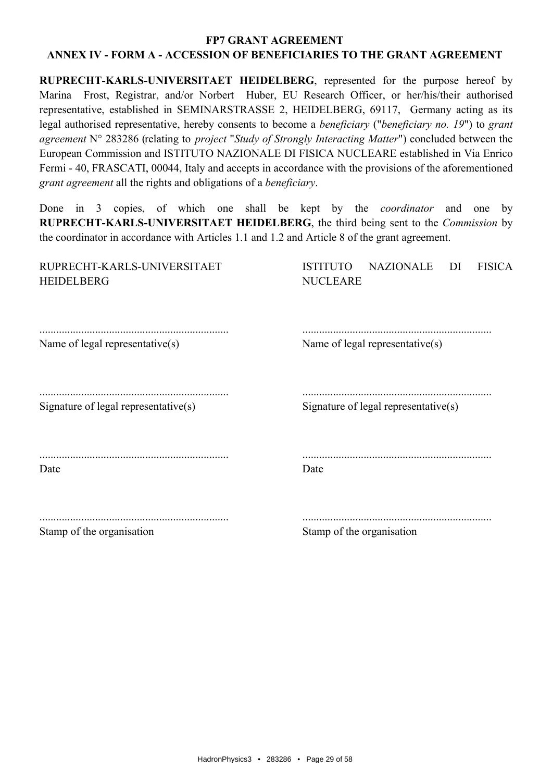RUPRECHT-KARLS-UNIVERSITAET HEIDELBERG, represented for the purpose hereof by Marina Frost, Registrar, and/or Norbert Huber, EU Research Officer, or her/his/their authorised representative, established in SEMINARSTRASSE 2, HEIDELBERG, 69117, Germany acting as its legal authorised representative, hereby consents to become a *beneficiary* ("*beneficiary no. 19*") to grant agreement  $N^{\circ}$  283286 (relating to *project "Study of Strongly Interacting Matter"*) concluded between the European Commission and ISTITUTO NAZIONALE DI FISICA NUCLEARE established in Via Enrico Fermi - 40, FRASCATI, 00044, Italy and accepts in accordance with the provisions of the aforementioned grant agreement all the rights and obligations of a beneficiary.

Done in 3 copies, of which one shall be kept by the *coordinator* and one by RUPRECHT-KARLS-UNIVERSITAET HEIDELBERG, the third being sent to the *Commission* by the coordinator in accordance with Articles 1.1 and 1.2 and Article 8 of the grant agreement.

<u>the common contract of the common state</u>

| RUPRECHT-KARLS-UNIVERSITAET<br><b>HEIDELBERG</b> | <b>NAZIONALE</b><br><b>FISICA</b><br><b>ISTITUTO</b><br>DI<br><b>NUCLEARE</b> |
|--------------------------------------------------|-------------------------------------------------------------------------------|
|                                                  |                                                                               |
| Name of legal representative(s)                  | Name of legal representative(s)                                               |
|                                                  |                                                                               |
| Signature of legal representative(s)             | Signature of legal representative $(s)$                                       |
| Date                                             | Date                                                                          |
|                                                  |                                                                               |
| Stamp of the organisation                        | Stamp of the organisation                                                     |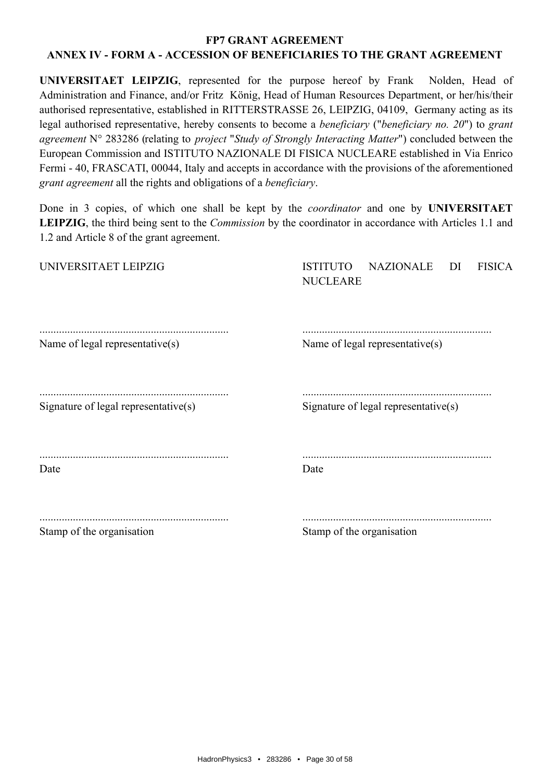UNIVERSITAET LEIPZIG, represented for the purpose hereof by Frank Nolden. Head of Administration and Finance, and/or Fritz König, Head of Human Resources Department, or her/his/their authorised representative, established in RITTERSTRASSE 26, LEIPZIG, 04109. Germany acting as its legal authorised representative, hereby consents to become a *beneficiary* ("*beneficiary no. 20*") to grant agreement N° 283286 (relating to *project "Study of Strongly Interacting Matter"*) concluded between the European Commission and ISTITUTO NAZIONALE DI FISICA NUCLEARE established in Via Enrico Fermi - 40, FRASCATI, 00044, Italy and accepts in accordance with the provisions of the aforementioned grant agreement all the rights and obligations of a beneficiary.

Done in 3 copies, of which one shall be kept by the *coordinator* and one by **UNIVERSITAET LEIPZIG**, the third being sent to the *Commission* by the coordinator in accordance with Articles 1.1 and 1.2 and Article 8 of the grant agreement.

| Stamp of the organisation            | Stamp of the organisation                                                     |
|--------------------------------------|-------------------------------------------------------------------------------|
| Date                                 | Date                                                                          |
| Signature of legal representative(s) | Signature of legal representative(s)                                          |
| Name of legal representative(s)      | Name of legal representative(s)                                               |
| UNIVERSITAET LEIPZIG                 | <b>ISTITUTO</b><br><b>NAZIONALE</b><br><b>FISICA</b><br>DI<br><b>NUCLEARE</b> |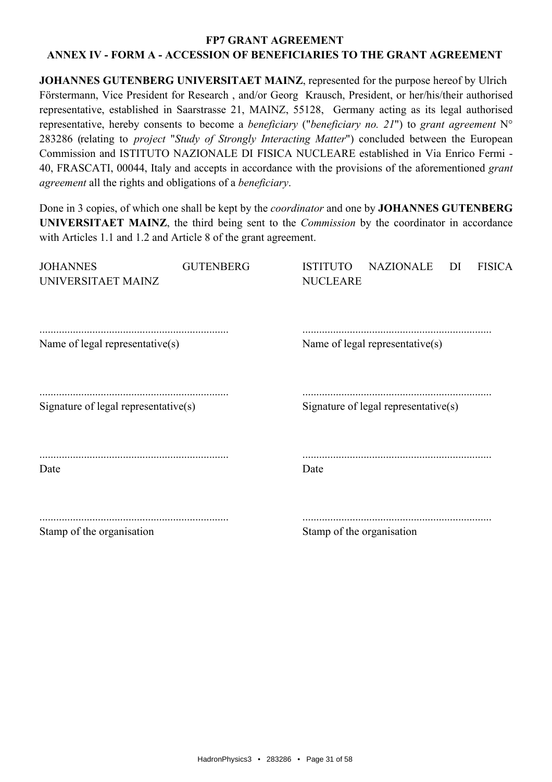JOHANNES GUTENBERG UNIVERSITAET MAINZ, represented for the purpose hereof by Ulrich Förstermann, Vice President for Research, and/or Georg Krausch, President, or her/his/their authorised representative, established in Saarstrasse 21, MAINZ, 55128, Germany acting as its legal authorised representative, hereby consents to become a *beneficiary* ("*beneficiary no. 21*") to grant agreement  $N^{\circ}$ 283286 (relating to *project "Study of Strongly Interacting Matter"*) concluded between the European Commission and ISTITUTO NAZIONALE DI FISICA NUCLEARE established in Via Enrico Fermi -40, FRASCATI, 00044, Italy and accepts in accordance with the provisions of the aforementioned grant agreement all the rights and obligations of a beneficiary.

Done in 3 copies, of which one shall be kept by the *coordinator* and one by **JOHANNES GUTENBERG** UNIVERSITAET MAINZ, the third being sent to the *Commission* by the coordinator in accordance with Articles 1.1 and 1.2 and Article 8 of the grant agreement.

| <b>JOHANNES</b><br>UNIVERSITAET MAINZ | <b>GUTENBERG</b> | <b>NAZIONALE</b><br><b>FISICA</b><br><b>ISTITUTO</b><br>DI<br><b>NUCLEARE</b> |
|---------------------------------------|------------------|-------------------------------------------------------------------------------|
| Name of legal representative(s)       |                  | Name of legal representative(s)                                               |
| Signature of legal representative(s)  |                  | Signature of legal representative $(s)$                                       |
| Date                                  |                  | Date                                                                          |
| Stamp of the organisation             |                  | Stamp of the organisation                                                     |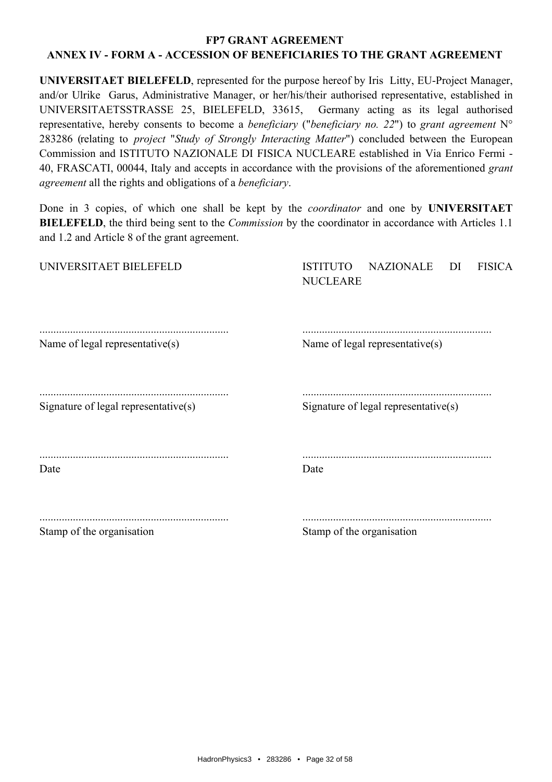UNIVERSITAET BIELEFELD, represented for the purpose hereof by Iris Litty, EU-Project Manager, and/or Ulrike Garus, Administrative Manager, or her/his/their authorised representative, established in UNIVERSITAETSSTRASSE 25, BIELEFELD, 33615, Germany acting as its legal authorised representative, hereby consents to become a *beneficiary* ("*beneficiary no. 22*") to grant agreement  $N^{\circ}$ 283286 (relating to *project "Study of Strongly Interacting Matter"*) concluded between the European Commission and ISTITUTO NAZIONALE DI FISICA NUCLEARE established in Via Enrico Fermi -40, FRASCATI, 00044, Italy and accepts in accordance with the provisions of the aforementioned grant agreement all the rights and obligations of a beneficiary.

Done in 3 copies, of which one shall be kept by the *coordinator* and one by UNIVERSITAET **BIELEFELD**, the third being sent to the *Commission* by the coordinator in accordance with Articles 1.1 and 1.2 and Article 8 of the grant agreement.

| UNIVERSITAET BIELEFELD               | <b>NAZIONALE</b><br><b>FISICA</b><br><b>ISTITUTO</b><br>DI<br><b>NUCLEARE</b> |
|--------------------------------------|-------------------------------------------------------------------------------|
| Name of legal representative(s)      | Name of legal representative(s)                                               |
| Signature of legal representative(s) | Signature of legal representative(s)                                          |
| Date                                 | Date                                                                          |
| Stamp of the organisation            | Stamp of the organisation                                                     |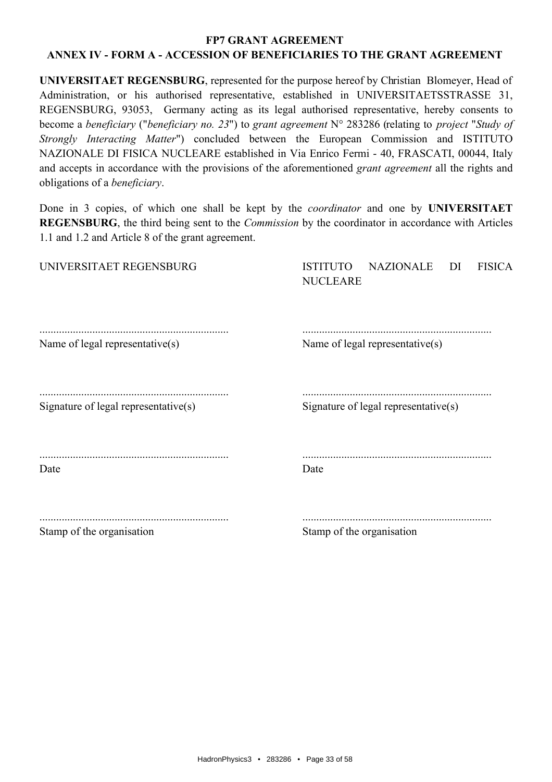# **FP7 GRANT AGREEMENT**

# **ANNEX IV - FORM A - ACCESSION OF BENEFICIARIES TO THE GRANT AGREEMENT**

**UNIVERSITAET REGENSBURG**, represented for the purpose hereof by Christian Blomeyer, Head of Administration, or his authorised representative, established in UNIVERSITAETSSTRASSE 31, REGENSBURG, 93053, Germany acting as its legal authorised representative, hereby consents to become a *beneficiary* ("*beneficiary no. 23*") to grant agreement N° 283286 (relating to *project* "Study of *Strongly Interacting Matter*") concluded between the European Commission and ISTITUTO NAZIONALE DI FISICA NUCLEARE established in Via Enrico Fermi - 40, FRASCATI, 00044, Italy and accepts in accordance with the provisions of the aforementioned *grant agreement* all the rights and obligations of a *beneficiary*.

Done in 3 copies, of which one shall be kept by the *coordinator* and one by UNIVERSITAET **REGENSBURG**, the third being sent to the *Commission* by the coordinator in accordance with Articles 1.1 and 1.2 and Article 8 of the grant agreement.

| UNIVERSITAET REGENSBURG                 | <b>NAZIONALE</b><br><b>FISICA</b><br><b>ISTITUTO</b><br>DI<br><b>NUCLEARE</b> |
|-----------------------------------------|-------------------------------------------------------------------------------|
| Name of legal representative(s)         | Name of legal representative(s)                                               |
| Signature of legal representative $(s)$ | Signature of legal representative $(s)$                                       |
| Date                                    | Date                                                                          |
| Stamp of the organisation               | Stamp of the organisation                                                     |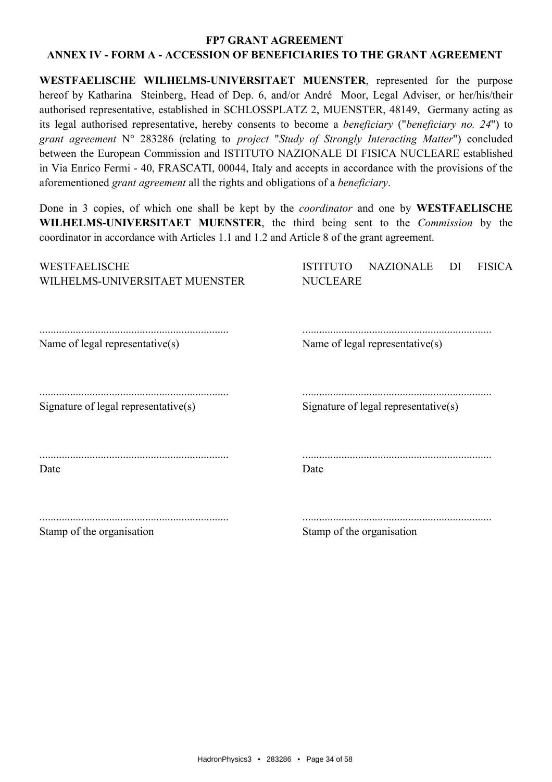WESTFAELISCHE WILHELMS-UNIVERSITAET MUENSTER, represented for the purpose hereof by Katharina Steinberg, Head of Dep. 6, and/or André Moor, Legal Adviser, or her/his/their authorised representative, established in SCHLOSSPLATZ 2, MUENSTER, 48149, Germany acting as its legal authorised representative, hereby consents to become a *beneficiary* ("*beneficiary no. 24*") to grant agreement N° 283286 (relating to project "Study of Strongly Interacting Matter") concluded between the European Commission and ISTITUTO NAZIONALE DI FISICA NUCLEARE established in Via Enrico Fermi - 40, FRASCATI, 00044, Italy and accepts in accordance with the provisions of the aforementioned grant agreement all the rights and obligations of a beneficiary.

Done in 3 copies, of which one shall be kept by the *coordinator* and one by **WESTFAELISCHE** WILHELMS-UNIVERSITAET MUENSTER, the third being sent to the *Commission* by the coordinator in accordance with Articles 1.1 and 1.2 and Article 8 of the grant agreement.

| WESTFAELISCHE<br>WILHELMS-UNIVERSITAET MUENSTER | <b>NAZIONALE</b><br><b>ISTITUTO</b><br><b>FISICA</b><br>DI<br><b>NUCLEARE</b> |
|-------------------------------------------------|-------------------------------------------------------------------------------|
| Name of legal representative(s)                 | Name of legal representative(s)                                               |
| Signature of legal representative(s)            | Signature of legal representative $(s)$                                       |
| Date                                            | Date                                                                          |
| Stamp of the organisation                       | Stamp of the organisation                                                     |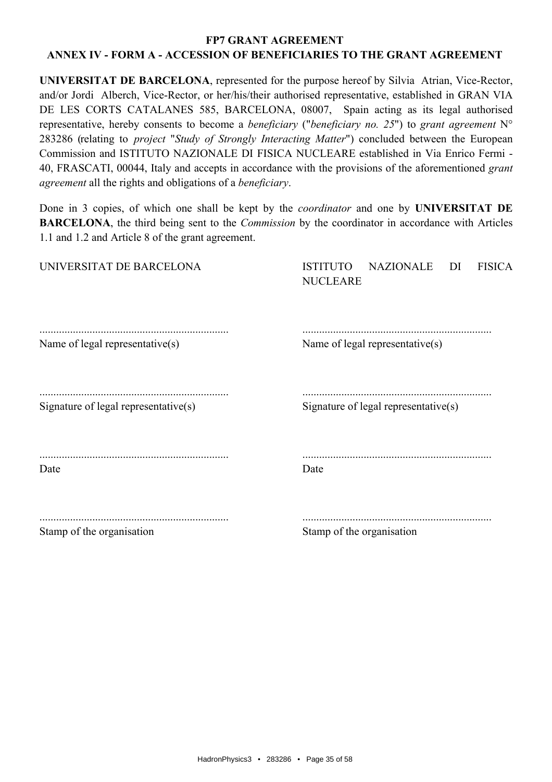UNIVERSITAT DE BARCELONA, represented for the purpose hereof by Silvia Atrian, Vice-Rector, and/or Jordi Alberch, Vice-Rector, or her/his/their authorised representative, established in GRAN VIA DE LES CORTS CATALANES 585, BARCELONA, 08007, Spain acting as its legal authorised representative, hereby consents to become a *beneficiary* ("*beneficiary no. 25*") to grant agreement  $N^{\circ}$ 283286 (relating to *project "Study of Strongly Interacting Matter"*) concluded between the European Commission and ISTITUTO NAZIONALE DI FISICA NUCLEARE established in Via Enrico Fermi -40, FRASCATI, 00044, Italy and accepts in accordance with the provisions of the aforementioned grant agreement all the rights and obligations of a beneficiary.

Done in 3 copies, of which one shall be kept by the *coordinator* and one by **UNIVERSITAT DE BARCELONA**, the third being sent to the *Commission* by the coordinator in accordance with Articles 1.1 and 1.2 and Article 8 of the grant agreement.

| UNIVERSITAT DE BARCELONA             | <b>NAZIONALE</b><br><b>FISICA</b><br><b>ISTITUTO</b><br>DI<br><b>NUCLEARE</b> |
|--------------------------------------|-------------------------------------------------------------------------------|
| Name of legal representative(s)      | Name of legal representative(s)                                               |
| Signature of legal representative(s) | Signature of legal representative(s)                                          |
| Date                                 | Date                                                                          |
| Stamp of the organisation            | Stamp of the organisation                                                     |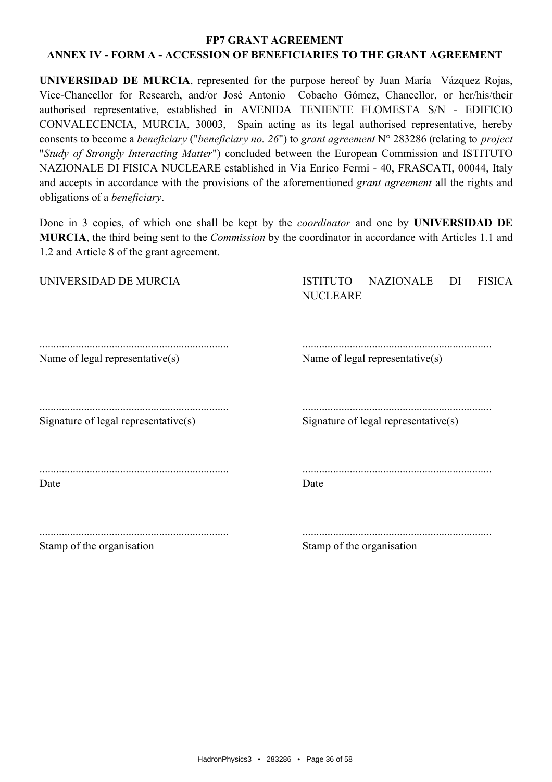UNIVERSIDAD DE MURCIA, represented for the purpose hereof by Juan María Vázquez Rojas, Vice-Chancellor for Research, and/or José Antonio Cobacho Gómez, Chancellor, or her/his/their authorised representative, established in AVENIDA TENIENTE FLOMESTA S/N - EDIFICIO CONVALECENCIA, MURCIA, 30003, Spain acting as its legal authorised representative, hereby consents to become a *beneficiary* ("*beneficiary no. 26*") to grant agreement  $N^{\circ}$  283286 (relating to *project* "Study of Strongly Interacting Matter") concluded between the European Commission and ISTITUTO NAZIONALE DI FISICA NUCLEARE established in Via Enrico Fermi - 40, FRASCATI, 00044, Italy and accepts in accordance with the provisions of the aforementioned grant agreement all the rights and obligations of a *beneficiary*.

Done in 3 copies, of which one shall be kept by the *coordinator* and one by **UNIVERSIDAD DE** MURCIA, the third being sent to the *Commission* by the coordinator in accordance with Articles 1.1 and 1.2 and Article 8 of the grant agreement.

| UNIVERSIDAD DE MURCIA                | <b>NAZIONALE</b><br><b>FISICA</b><br><b>ISTITUTO</b><br>DI<br><b>NUCLEARE</b> |
|--------------------------------------|-------------------------------------------------------------------------------|
| Name of legal representative(s)      | Name of legal representative(s)                                               |
| Signature of legal representative(s) | Signature of legal representative(s)                                          |
| Date                                 | Date                                                                          |
| Stamp of the organisation            | Stamp of the organisation                                                     |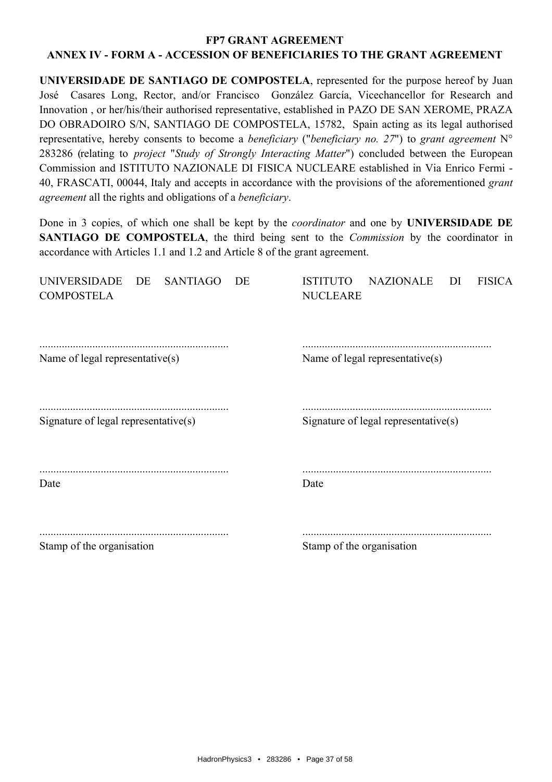UNIVERSIDADE DE SANTIAGO DE COMPOSTELA, represented for the purpose hereof by Juan José Casares Long, Rector, and/or Francisco González García, Vicechancellor for Research and Innovation, or her/his/their authorised representative, established in PAZO DE SAN XEROME, PRAZA DO OBRADOIRO S/N, SANTIAGO DE COMPOSTELA, 15782, Spain acting as its legal authorised representative, hereby consents to become a *beneficiary* ("*beneficiary no. 27*") to grant agreement  $N^{\circ}$ 283286 (relating to *project "Study of Strongly Interacting Matter"*) concluded between the European Commission and ISTITUTO NAZIONALE DI FISICA NUCLEARE established in Via Enrico Fermi -40, FRASCATI, 00044, Italy and accepts in accordance with the provisions of the aforementioned grant *agreement* all the rights and obligations of a *beneficiary*.

Done in 3 copies, of which one shall be kept by the *coordinator* and one by **UNIVERSIDADE DE** SANTIAGO DE COMPOSTELA, the third being sent to the *Commission* by the coordinator in accordance with Articles 1.1 and 1.2 and Article 8 of the grant agreement.

| UNIVERSIDADE DE<br><b>SANTIAGO</b><br>DE<br><b>COMPOSTELA</b> | NAZIONALE<br><b>ISTITUTO</b><br>DI<br><b>FISICA</b><br><b>NUCLEARE</b> |
|---------------------------------------------------------------|------------------------------------------------------------------------|
|                                                               |                                                                        |
| Name of legal representative(s)                               | Name of legal representative(s)                                        |
| Signature of legal representative(s)                          | Signature of legal representative $(s)$                                |
|                                                               |                                                                        |
| Date                                                          | Date                                                                   |
|                                                               |                                                                        |
| Stamp of the organisation                                     | Stamp of the organisation                                              |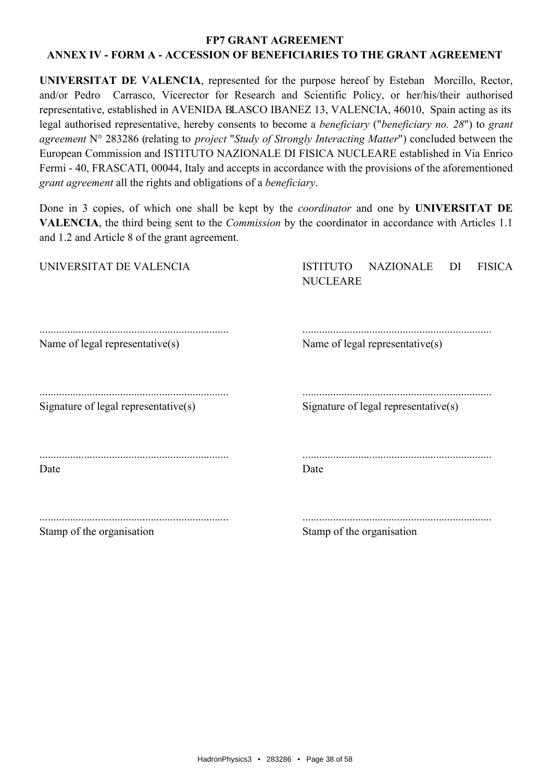UNIVERSITAT DE VALENCIA, represented for the purpose hereof by Esteban Morcillo, Rector, and/or Pedro Carrasco, Vicerector for Research and Scientific Policy, or her/his/their authorised representative, established in AVENIDA BLASCO IBANEZ 13, VALENCIA, 46010, Spain acting as its legal authorised representative, hereby consents to become a *beneficiary* ("*beneficiary no. 28*") to grant agreement  $N^{\circ}$  283286 (relating to *project "Study of Strongly Interacting Matter"*) concluded between the European Commission and ISTITUTO NAZIONALE DI FISICA NUCLEARE established in Via Enrico Fermi - 40, FRASCATI, 00044, Italy and accepts in accordance with the provisions of the aforementioned grant agreement all the rights and obligations of a beneficiary.

Done in 3 copies, of which one shall be kept by the *coordinator* and one by **UNIVERSITAT DE** VALENCIA, the third being sent to the *Commission* by the coordinator in accordance with Articles 1.1 and 1.2 and Article 8 of the grant agreement.

| UNIVERSITAT DE VALENCIA              | <b>NAZIONALE</b><br><b>FISICA</b><br><b>ISTITUTO</b><br>DI<br><b>NUCLEARE</b> |
|--------------------------------------|-------------------------------------------------------------------------------|
| Name of legal representative(s)      | Name of legal representative(s)                                               |
| Signature of legal representative(s) | Signature of legal representative(s)                                          |
| Date                                 | Date                                                                          |
| Stamp of the organisation            | Stamp of the organisation                                                     |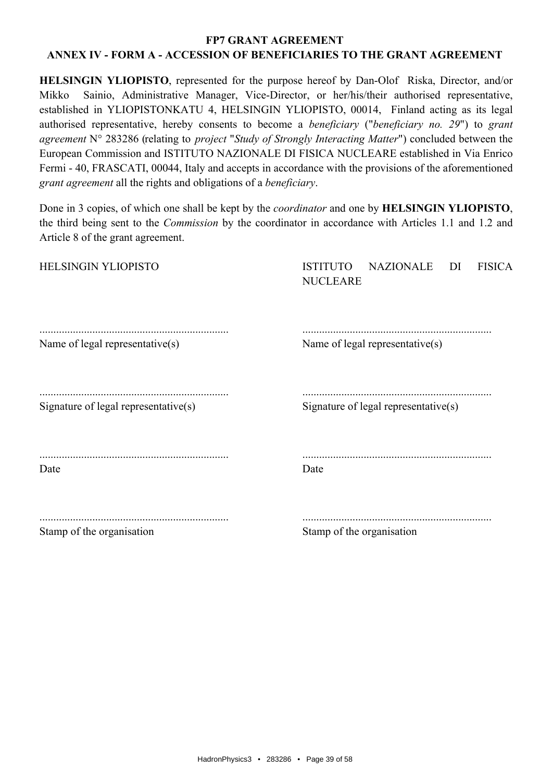**HELSINGIN YLIOPISTO**, represented for the purpose hereof by Dan-Olof Riska, Director, and/or Sainio, Administrative Manager, Vice-Director, or her/his/their authorised representative, Mikko established in YLIOPISTONKATU 4, HELSINGIN YLIOPISTO, 00014, Finland acting as its legal authorised representative, hereby consents to become a *beneficiary* ("*beneficiary no. 29*") to grant agreement N° 283286 (relating to *project "Study of Strongly Interacting Matter"*) concluded between the European Commission and ISTITUTO NAZIONALE DI FISICA NUCLEARE established in Via Enrico Fermi - 40, FRASCATI, 00044, Italy and accepts in accordance with the provisions of the aforementioned grant agreement all the rights and obligations of a beneficiary.

Done in 3 copies, of which one shall be kept by the *coordinator* and one by **HELSINGIN YLIOPISTO**, the third being sent to the *Commission* by the coordinator in accordance with Articles 1.1 and 1.2 and Article 8 of the grant agreement.

| HELSINGIN YLIOPISTO                  | <b>NAZIONALE</b><br><b>FISICA</b><br><b>ISTITUTO</b><br>DI<br><b>NUCLEARE</b> |
|--------------------------------------|-------------------------------------------------------------------------------|
| Name of legal representative(s)      | Name of legal representative(s)                                               |
| Signature of legal representative(s) | Signature of legal representative(s)                                          |
| Date                                 | Date                                                                          |
| Stamp of the organisation            | Stamp of the organisation                                                     |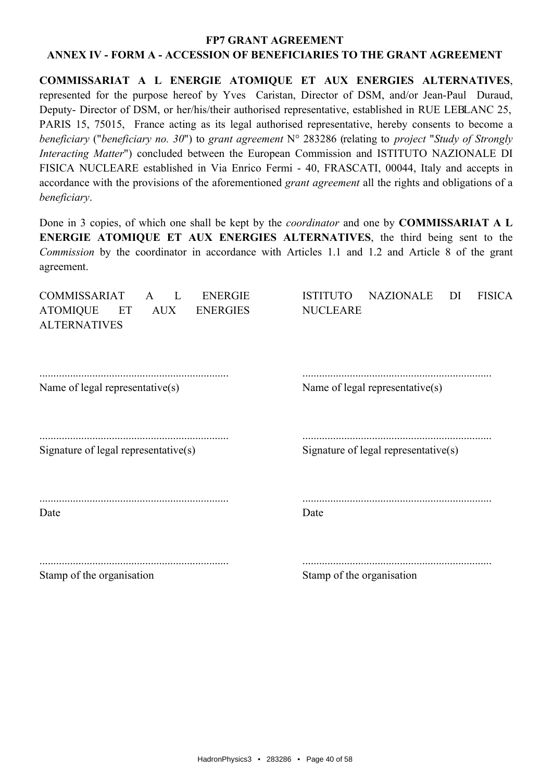COMMISSARIAT A L ENERGIE ATOMIQUE ET AUX ENERGIES ALTERNATIVES, represented for the purpose hereof by Yves Caristan, Director of DSM, and/or Jean-Paul Duraud, Deputy- Director of DSM, or her/his/their authorised representative, established in RUE LEBLANC 25, PARIS 15, 75015, France acting as its legal authorised representative, hereby consents to become a beneficiary ("beneficiary no. 30") to grant agreement  $N^{\circ}$  283286 (relating to project "Study of Strongly Interacting Matter") concluded between the European Commission and ISTITUTO NAZIONALE DI FISICA NUCLEARE established in Via Enrico Fermi - 40, FRASCATI, 00044, Italy and accepts in accordance with the provisions of the aforementioned *grant agreement* all the rights and obligations of a beneficiary.

Done in 3 copies, of which one shall be kept by the *coordinator* and one by **COMMISSARIAT** A L ENERGIE ATOMIQUE ET AUX ENERGIES ALTERNATIVES, the third being sent to the Commission by the coordinator in accordance with Articles 1.1 and 1.2 and Article 8 of the grant agreement.

| <b>COMMISSARIAT</b><br><b>ENERGIE</b><br>L<br>$\mathsf{A}$<br><b>ATOMIQUE</b><br><b>ENERGIES</b><br>ET<br><b>AUX</b><br><b>ALTERNATIVES</b> | <b>NAZIONALE</b><br><b>FISICA</b><br><b>ISTITUTO</b><br>DI<br><b>NUCLEARE</b> |
|---------------------------------------------------------------------------------------------------------------------------------------------|-------------------------------------------------------------------------------|
| Name of legal representative(s)                                                                                                             | Name of legal representative(s)                                               |
| Signature of legal representative $(s)$                                                                                                     | Signature of legal representative $(s)$                                       |
| Date                                                                                                                                        | Date                                                                          |
| Stamp of the organisation                                                                                                                   | Stamp of the organisation                                                     |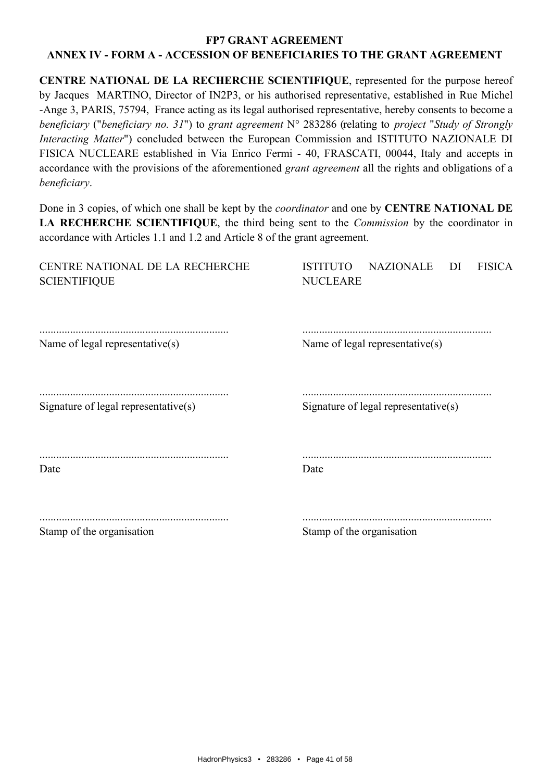CENTRE NATIONAL DE LA RECHERCHE SCIENTIFIQUE, represented for the purpose hereof by Jacques MARTINO, Director of IN2P3, or his authorised representative, established in Rue Michel -Ange 3, PARIS, 75794, France acting as its legal authorised representative, hereby consents to become a beneficiary ("beneficiary no. 31") to grant agreement  $N^{\circ}$  283286 (relating to project "Study of Strongly *Interacting Matter*") concluded between the European Commission and ISTITUTO NAZIONALE DI FISICA NUCLEARE established in Via Enrico Fermi - 40, FRASCATI, 00044, Italy and accepts in accordance with the provisions of the aforementioned *grant agreement* all the rights and obligations of a beneficiary.

Done in 3 copies, of which one shall be kept by the *coordinator* and one by **CENTRE NATIONAL DE** LA RECHERCHE SCIENTIFIQUE, the third being sent to the *Commission* by the coordinator in accordance with Articles 1.1 and 1.2 and Article 8 of the grant agreement.

| CENTRE NATIONAL DE LA RECHERCHE<br><b>SCIENTIFIQUE</b> | <b>ISTITUTO</b><br>NAZIONALE<br>DI<br><b>FISICA</b><br><b>NUCLEARE</b> |
|--------------------------------------------------------|------------------------------------------------------------------------|
| Name of legal representative(s)                        | Name of legal representative(s)                                        |
| Signature of legal representative(s)                   | Signature of legal representative $(s)$                                |
| Date                                                   | Date                                                                   |
| Stamp of the organisation                              | Stamp of the organisation                                              |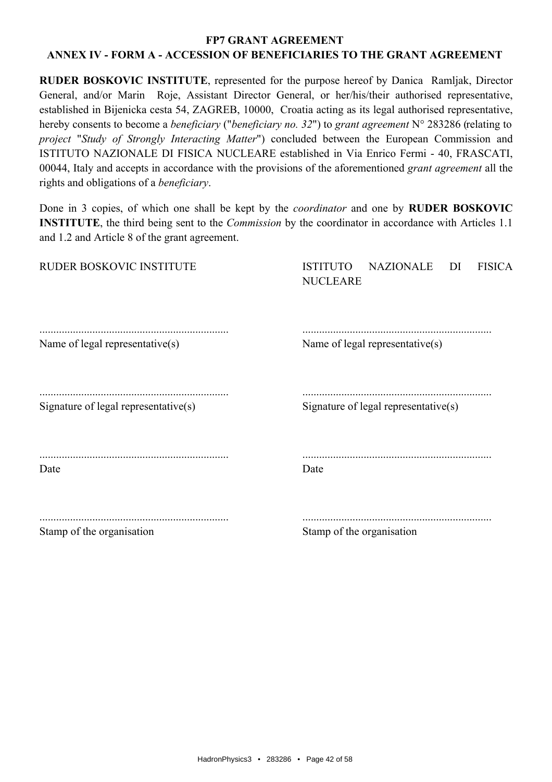RUDER BOSKOVIC INSTITUTE, represented for the purpose hereof by Danica Ramljak, Director General, and/or Marin Roje, Assistant Director General, or her/his/their authorised representative, established in Bijenicka cesta 54, ZAGREB, 10000, Croatia acting as its legal authorised representative, hereby consents to become a *beneficiary* ("*beneficiary no. 32*") to grant agreement N° 283286 (relating to project "Study of Strongly Interacting Matter") concluded between the European Commission and ISTITUTO NAZIONALE DI FISICA NUCLEARE established in Via Enrico Fermi - 40, FRASCATI, 00044, Italy and accepts in accordance with the provisions of the aforementioned *grant agreement* all the rights and obligations of a *beneficiary*.

Done in 3 copies, of which one shall be kept by the *coordinator* and one by **RUDER BOSKOVIC INSTITUTE**, the third being sent to the *Commission* by the coordinator in accordance with Articles 1.1 and 1.2 and Article 8 of the grant agreement.

| RUDER BOSKOVIC INSTITUTE             | <b>NAZIONALE</b><br><b>ISTITUTO</b><br><b>FISICA</b><br>DI<br><b>NUCLEARE</b> |
|--------------------------------------|-------------------------------------------------------------------------------|
| Name of legal representative(s)      | Name of legal representative(s)                                               |
| Signature of legal representative(s) | Signature of legal representative(s)                                          |
| Date                                 | Date                                                                          |
| Stamp of the organisation            | Stamp of the organisation                                                     |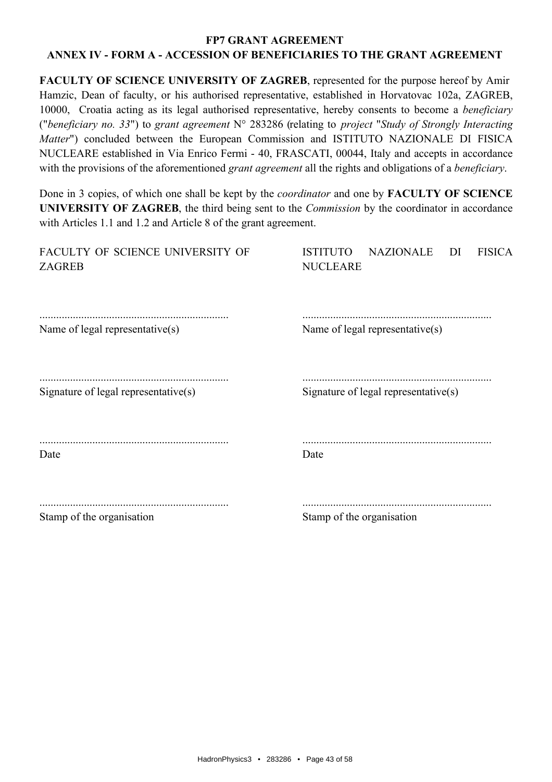# FACULTY OF SCIENCE UNIVERSITY OF ZAGREB, represented for the purpose hereof by Amir Hamzic, Dean of faculty, or his authorised representative, established in Horvatovac 102a, ZAGREB, 10000. Croatia acting as its legal authorised representative, hereby consents to become a *beneficiary* ("beneficiary no. 33") to grant agreement  $N^{\circ}$  283286 (relating to project "Study of Strongly Interacting Matter") concluded between the European Commission and ISTITUTO NAZIONALE DI FISICA NUCLEARE established in Via Enrico Fermi - 40, FRASCATI, 00044, Italy and accepts in accordance with the provisions of the aforementioned *grant agreement* all the rights and obligations of a *beneficiary*.

Done in 3 copies, of which one shall be kept by the *coordinator* and one by **FACULTY OF SCIENCE** UNIVERSITY OF ZAGREB, the third being sent to the *Commission* by the coordinator in accordance with Articles 1.1 and 1.2 and Article 8 of the grant agreement.

| FACULTY OF SCIENCE UNIVERSITY OF<br><b>ZAGREB</b> | <b>ISTITUTO</b><br><b>NAZIONALE</b><br><b>FISICA</b><br>DI<br><b>NUCLEARE</b> |
|---------------------------------------------------|-------------------------------------------------------------------------------|
| Name of legal representative(s)                   | Name of legal representative(s)                                               |
| Signature of legal representative(s)              | Signature of legal representative $(s)$                                       |
| Date                                              | Date                                                                          |
| $\alpha$ $\alpha$ $\alpha$                        | $\alpha$ $\alpha$ $\alpha$                                                    |

Stamp of the organisation

Stamp of the organisation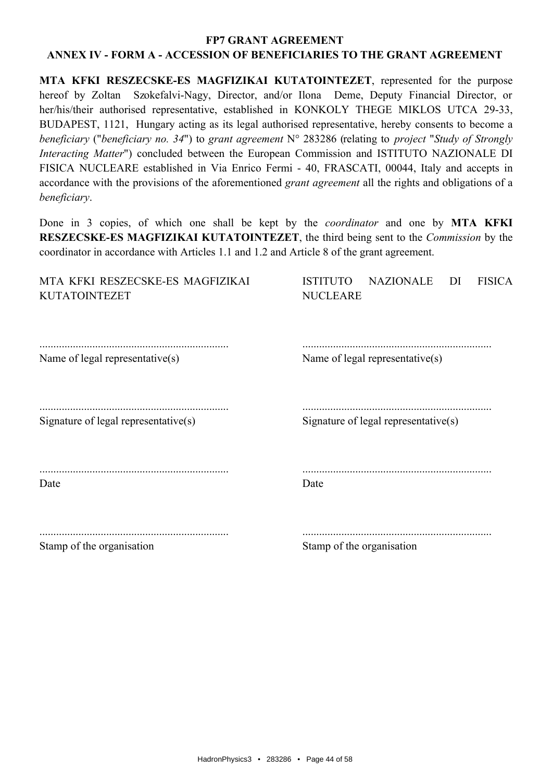MTA KFKI RESZECSKE-ES MAGFIZIKAI KUTATOINTEZET, represented for the purpose hereof by Zoltan Szokefalvi-Nagy, Director, and/or Ilona Deme, Deputy Financial Director, or her/his/their authorised representative, established in KONKOLY THEGE MIKLOS UTCA 29-33, BUDAPEST, 1121, Hungary acting as its legal authorised representative, hereby consents to become a beneficiary ("beneficiary no. 34") to grant agreement  $N^{\circ}$  283286 (relating to project "Study of Strongly Interacting Matter") concluded between the European Commission and ISTITUTO NAZIONALE DI FISICA NUCLEARE established in Via Enrico Fermi - 40, FRASCATI, 00044, Italy and accepts in accordance with the provisions of the aforementioned *grant agreement* all the rights and obligations of a beneficiary.

Done in 3 copies, of which one shall be kept by the *coordinator* and one by MTA KFKI RESZECSKE-ES MAGFIZIKAI KUTATOINTEZET, the third being sent to the *Commission* by the coordinator in accordance with Articles 1.1 and 1.2 and Article 8 of the grant agreement.

| MTA KFKI RESZECSKE-ES MAGFIZIKAI<br><b>KUTATOINTEZET</b> | <b>ISTITUTO</b><br><b>NAZIONALE</b><br><b>FISICA</b><br>DI<br><b>NUCLEARE</b> |
|----------------------------------------------------------|-------------------------------------------------------------------------------|
| Name of legal representative(s)                          | Name of legal representative $(s)$                                            |
| Signature of legal representative $(s)$                  | Signature of legal representative $(s)$                                       |
| Date                                                     | Date                                                                          |
| Stamp of the organisation                                | Stamp of the organisation                                                     |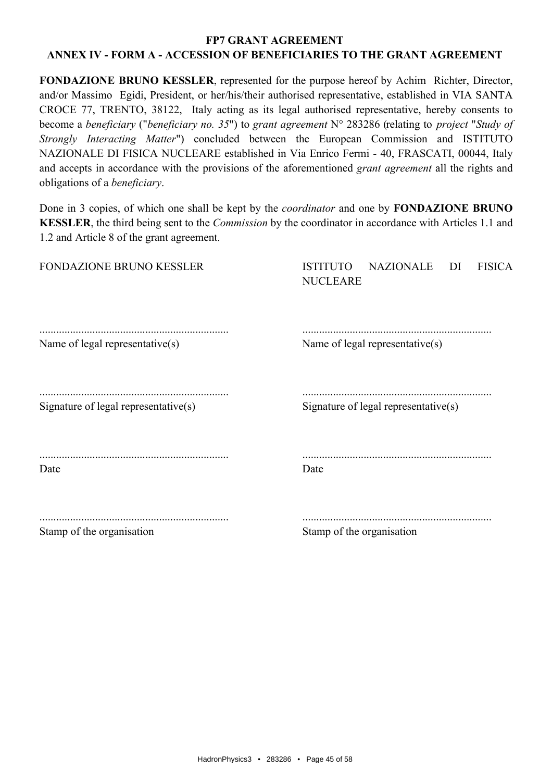#### **FP7 GRANT AGREEMENT**

# ANNEX IV - FORM A - ACCESSION OF BENEFICIARIES TO THE GRANT AGREEMENT

FONDAZIONE BRUNO KESSLER, represented for the purpose hereof by Achim Richter, Director, and/or Massimo Egidi, President, or her/his/their authorised representative, established in VIA SANTA CROCE 77, TRENTO, 38122, Italy acting as its legal authorised representative, hereby consents to become a beneficiary ("beneficiary no. 35") to grant agreement  $N^{\circ}$  283286 (relating to project "Study of Strongly Interacting Matter") concluded between the European Commission and ISTITUTO NAZIONALE DI FISICA NUCLEARE established in Via Enrico Fermi - 40, FRASCATI, 00044, Italy and accepts in accordance with the provisions of the aforementioned *grant agreement* all the rights and obligations of a *beneficiary*.

Done in 3 copies, of which one shall be kept by the *coordinator* and one by **FONDAZIONE BRUNO KESSLER**, the third being sent to the *Commission* by the coordinator in accordance with Articles 1.1 and 1.2 and Article 8 of the grant agreement.

| FONDAZIONE BRUNO KESSLER             | <b>NAZIONALE</b><br><b>FISICA</b><br><b>ISTITUTO</b><br>DI<br><b>NUCLEARE</b> |
|--------------------------------------|-------------------------------------------------------------------------------|
| Name of legal representative(s)      | Name of legal representative(s)                                               |
| Signature of legal representative(s) | Signature of legal representative(s)                                          |
| Date                                 | Date                                                                          |
| Stamp of the organisation            | Stamp of the organisation                                                     |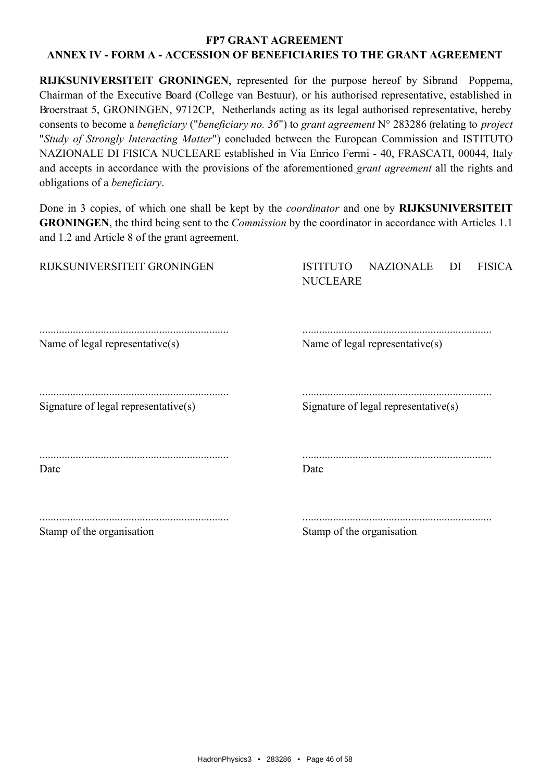**RIJKSUNIVERSITEIT GRONINGEN**, represented for the purpose hereof by Sibrand Poppema, Chairman of the Executive Board (College van Bestuur), or his authorised representative, established in Broerstraat 5, GRONINGEN, 9712CP, Netherlands acting as its legal authorised representative, hereby consents to become a *beneficiary* ("*beneficiary no.* 36") to grant agreement  $N^{\circ}$  283286 (relating to *project* "Study of Strongly Interacting Matter") concluded between the European Commission and ISTITUTO NAZIONALE DI FISICA NUCLEARE established in Via Enrico Fermi - 40, FRASCATI, 00044, Italy and accepts in accordance with the provisions of the aforementioned *grant agreement* all the rights and obligations of a *beneficiary*.

Done in 3 copies, of which one shall be kept by the *coordinator* and one by **RIJKSUNIVERSITEIT GRONINGEN**, the third being sent to the *Commission* by the coordinator in accordance with Articles 1.1 and 1.2 and Article 8 of the grant agreement.

| RIJKSUNIVERSITEIT GRONINGEN          | <b>NAZIONALE</b><br><b>FISICA</b><br><b>ISTITUTO</b><br>DI<br><b>NUCLEARE</b> |
|--------------------------------------|-------------------------------------------------------------------------------|
| Name of legal representative(s)      | Name of legal representative(s)                                               |
| Signature of legal representative(s) | Signature of legal representative(s)                                          |
| Date                                 | Date                                                                          |
| Stamp of the organisation            | Stamp of the organisation                                                     |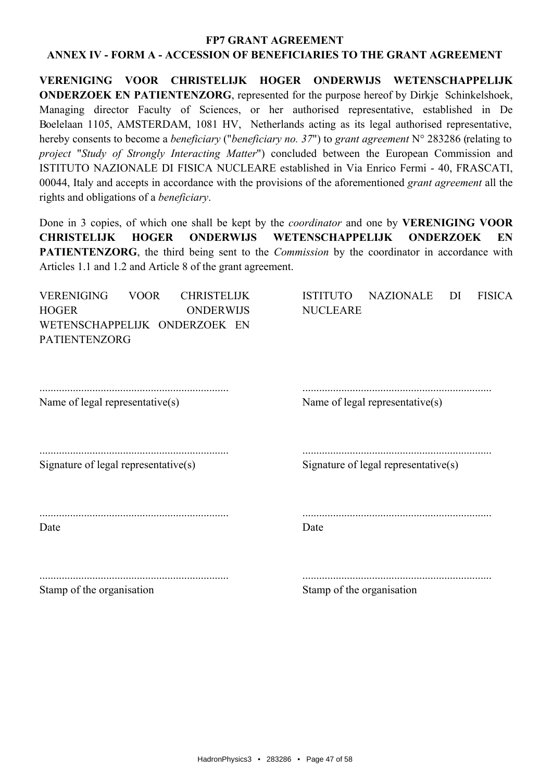#### **FP7 GRANT AGREEMENT**

#### ANNEX IV - FORM A - ACCESSION OF BENEFICIARIES TO THE GRANT AGREEMENT

VERENIGING VOOR CHRISTELLIK HOGER ONDERWLIS WETENSCHAPPELLIK **ONDERZOEK EN PATIENTENZORG**, represented for the purpose hereof by Dirkje Schinkelshoek, Managing director Faculty of Sciences, or her authorised representative, established in De Boelelaan 1105, AMSTERDAM, 1081 HV, Netherlands acting as its legal authorised representative, hereby consents to become a *beneficiary* ("*beneficiary no.* 37") to grant agreement  $N^{\circ}$  283286 (relating to project "Study of Strongly Interacting Matter") concluded between the European Commission and ISTITUTO NAZIONALE DI FISICA NUCLEARE established in Via Enrico Fermi - 40, FRASCATI, 00044, Italy and accepts in accordance with the provisions of the aforementioned grant agreement all the rights and obligations of a *beneficiary*.

Done in 3 copies, of which one shall be kept by the *coordinator* and one by **VERENIGING VOOR CHRISTELLIK HOGER ONDERWIJS WETENSCHAPPELIJK ONDERZOEK** EN **PATIENTENZORG**, the third being sent to the *Commission* by the coordinator in accordance with Articles 1.1 and 1.2 and Article 8 of the grant agreement.

| <b>VERENIGING</b><br><b>HOGER</b>    | <b>VOOR</b><br><b>CHRISTELIJK</b><br><b>ONDERWIJS</b> | <b>ISTITUTO</b><br><b>NAZIONALE</b><br><b>FISICA</b><br>DI<br><b>NUCLEARE</b> |
|--------------------------------------|-------------------------------------------------------|-------------------------------------------------------------------------------|
| <b>PATIENTENZORG</b>                 | WETENSCHAPPELIJK ONDERZOEK EN                         |                                                                               |
| Name of legal representative(s)      |                                                       | Name of legal representative(s)                                               |
| Signature of legal representative(s) |                                                       | Signature of legal representative $(s)$                                       |
| Date                                 |                                                       | Date                                                                          |
| $\alpha$ $\alpha$ $\alpha$           |                                                       | $\alpha$ , $\alpha$ , $\alpha$                                                |

Stamp of the organisation

Stamp of the organisation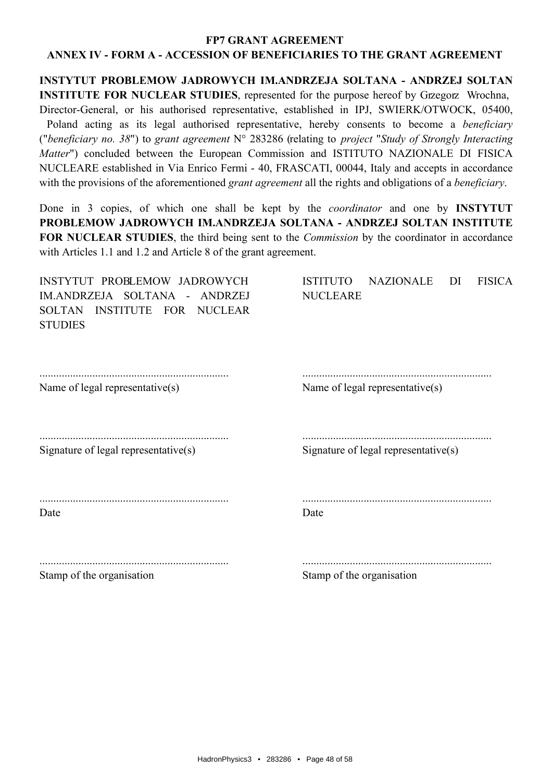INSTYTUT PROBLEMOW JADROWYCH IM.ANDRZEJA SOLTANA - ANDRZEJ SOLTAN **INSTITUTE FOR NUCLEAR STUDIES**, represented for the purpose hereof by Grzegorz Wrochna, Director-General, or his authorised representative, established in IPJ, SWIERK/OTWOCK, 05400, Poland acting as its legal authorised representative, hereby consents to become a *beneficiary* ("beneficiary no. 38") to grant agreement  $N^{\circ}$  283286 (relating to project "Study of Strongly Interacting Matter") concluded between the European Commission and ISTITUTO NAZIONALE DI FISICA NUCLEARE established in Via Enrico Fermi - 40, FRASCATI, 00044, Italy and accepts in accordance with the provisions of the aforementioned *grant agreement* all the rights and obligations of a *beneficiary*.

Done in 3 copies, of which one shall be kept by the *coordinator* and one by **INSTYTUT** PROBLEMOW JADROWYCH IM.ANDRZEJA SOLTANA - ANDRZEJ SOLTAN INSTITUTE FOR NUCLEAR STUDIES, the third being sent to the *Commission* by the coordinator in accordance with Articles 1.1 and 1.2 and Article 8 of the grant agreement.

| INSTYTUT PROBLEMOW JADROWYCH<br>IM.ANDRZEJA SOLTANA -<br>ANDRZEJ<br>INSTITUTE FOR NUCLEAR<br><b>SOLTAN</b><br><b>STUDIES</b> | <b>ISTITUTO</b><br>NAZIONALE<br>DI<br><b>FISICA</b><br><b>NUCLEARE</b> |
|------------------------------------------------------------------------------------------------------------------------------|------------------------------------------------------------------------|
| Name of legal representative(s)                                                                                              | Name of legal representative(s)                                        |
| Signature of legal representative $(s)$                                                                                      | Signature of legal representative $(s)$                                |
| Date                                                                                                                         | Date                                                                   |
| Stamp of the organisation                                                                                                    | Stamp of the organisation                                              |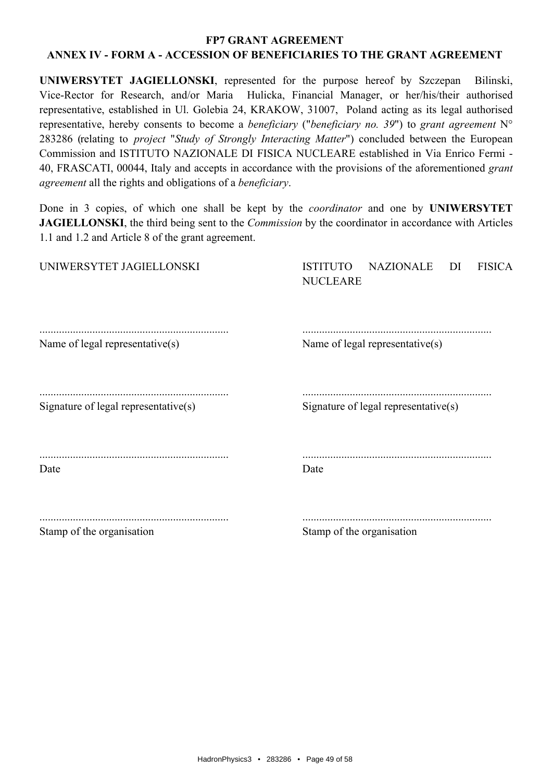UNIWERSYTET JAGIELLONSKI, represented for the purpose hereof by Szczepan Bilinski Vice-Rector for Research, and/or Maria Hulicka, Financial Manager, or her/his/their authorised representative, established in Ul. Golebia 24, KRAKOW, 31007. Poland acting as its legal authorised representative, hereby consents to become a *beneficiary* ("*beneficiary no.* 39") to grant agreement  $N^{\circ}$ 283286 (relating to *project "Study of Strongly Interacting Matter"*) concluded between the European Commission and ISTITUTO NAZIONALE DI FISICA NUCLEARE established in Via Enrico Fermi -40, FRASCATI, 00044, Italy and accepts in accordance with the provisions of the aforementioned grant agreement all the rights and obligations of a beneficiary.

Done in 3 copies, of which one shall be kept by the *coordinator* and one by UNIWERSYTET **JAGIELLONSKI**, the third being sent to the *Commission* by the coordinator in accordance with Articles 1.1 and 1.2 and Article 8 of the grant agreement.

| UNIWERSYTET JAGIELLONSKI             | <b>NAZIONALE</b><br><b>ISTITUTO</b><br><b>FISICA</b><br>DI<br><b>NUCLEARE</b> |
|--------------------------------------|-------------------------------------------------------------------------------|
| Name of legal representative(s)      | Name of legal representative(s)                                               |
| Signature of legal representative(s) | Signature of legal representative(s)                                          |
| Date                                 | Date                                                                          |
| Stamp of the organisation            | Stamp of the organisation                                                     |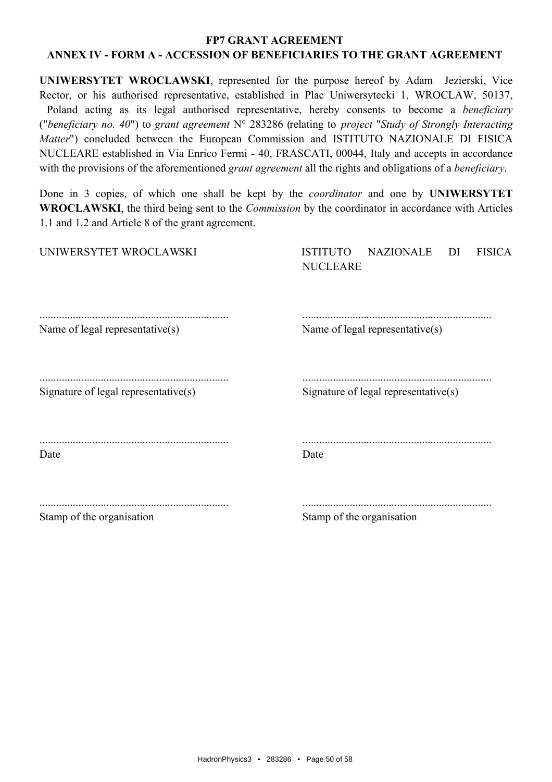#### **FP7 GRANT AGREEMENT**

# ANNEX IV - FORM A - ACCESSION OF BENEFICIARIES TO THE GRANT AGREEMENT

UNIWERSYTET WROCLAWSKI, represented for the purpose hereof by Adam Jezierski, Vice Rector, or his authorised representative, established in Plac Uniwersytecki 1, WROCLAW, 50137, Poland acting as its legal authorised representative, hereby consents to become a *beneficiary* ("beneficiary no. 40") to grant agreement  $N^{\circ}$  283286 (relating to project "Study of Strongly Interacting Matter") concluded between the European Commission and ISTITUTO NAZIONALE DI FISICA NUCLEARE established in Via Enrico Fermi - 40, FRASCATI, 00044, Italy and accepts in accordance with the provisions of the aforementioned *grant agreement* all the rights and obligations of a *beneficiary*.

Done in 3 copies, of which one shall be kept by the *coordinator* and one by UNIWERSYTET **WROCLAWSKI**, the third being sent to the *Commission* by the coordinator in accordance with Articles 1.1 and 1.2 and Article 8 of the grant agreement.

| UNIWERSYTET WROCLAWSKI               | <b>ISTITUTO</b><br>NAZIONALE<br><b>FISICA</b><br>DI<br><b>NUCLEARE</b> |
|--------------------------------------|------------------------------------------------------------------------|
| Name of legal representative(s)      | Name of legal representative(s)                                        |
| Signature of legal representative(s) | Signature of legal representative(s)                                   |
| Date                                 | Date                                                                   |
| $\alpha$ $\alpha$ $\alpha$           | $\alpha$ and $\alpha$ and $\alpha$ is the set of $\alpha$              |

Stamp of the organisation

Stamp of the organisation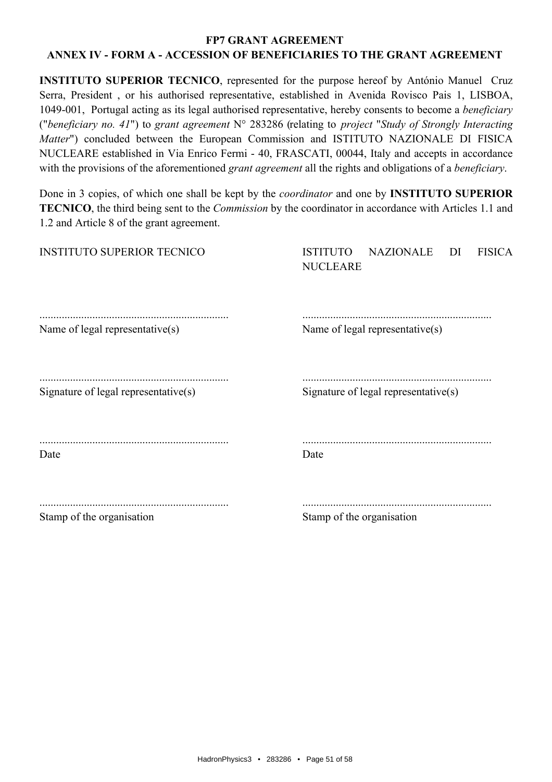#### **FP7 GRANT AGREEMENT**

# ANNEX IV - FORM A - ACCESSION OF BENEFICIARIES TO THE GRANT AGREEMENT

**INSTITUTO SUPERIOR TECNICO**, represented for the purpose hereof by António Manuel Cruz Serra, President, or his authorised representative, established in Avenida Rovisco Pais 1, LISBOA, 1049-001, Portugal acting as its legal authorised representative, hereby consents to become a *beneficiary* ("beneficiary no. 41") to grant agreement  $N^{\circ}$  283286 (relating to project "Study of Strongly Interacting Matter") concluded between the European Commission and ISTITUTO NAZIONALE DI FISICA NUCLEARE established in Via Enrico Fermi - 40, FRASCATI, 00044, Italy and accepts in accordance with the provisions of the aforementioned *grant agreement* all the rights and obligations of a *beneficiary*.

Done in 3 copies, of which one shall be kept by the *coordinator* and one by **INSTITUTO SUPERIOR TECNICO**, the third being sent to the *Commission* by the coordinator in accordance with Articles 1.1 and 1.2 and Article 8 of the grant agreement.

| <b>INSTITUTO SUPERIOR TECNICO</b>    | <b>NAZIONALE</b><br>DI<br><b>FISICA</b><br><b>ISTITUTO</b><br><b>NUCLEARE</b> |
|--------------------------------------|-------------------------------------------------------------------------------|
| Name of legal representative(s)      | Name of legal representative(s)                                               |
| Signature of legal representative(s) | Signature of legal representative $(s)$                                       |
| Date                                 | Date                                                                          |
| $\alpha_i$ $\alpha_i$ $\alpha_i$     | $\alpha$ $\alpha$ $\alpha$                                                    |

Stamp of the organisation

Stamp of the organisation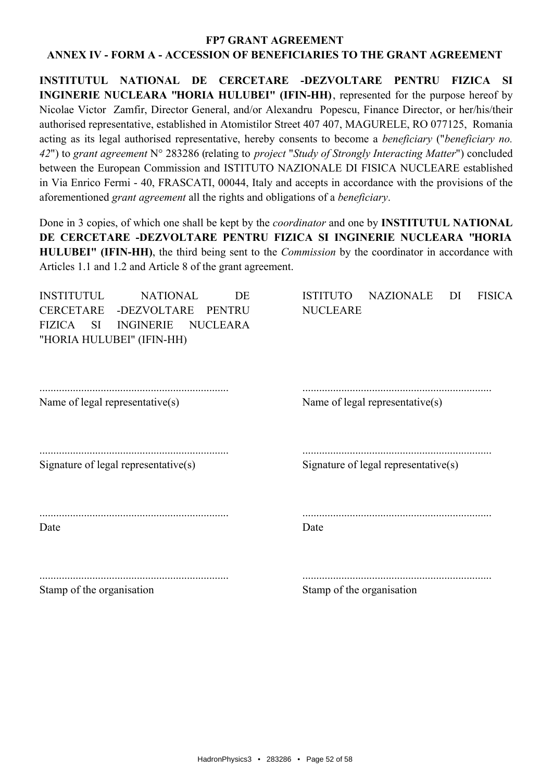INSTITUTUL NATIONAL DE CERCETARE -DEZVOLTARE PENTRU FIZICA SI INGINERIE NUCLEARA "HORIA HULUBEI" (IFIN-HH), represented for the purpose hereof by Nicolae Victor Zamfir, Director General, and/or Alexandru Popescu, Finance Director, or her/his/their authorised representative, established in Atomistilor Street 407 407, MAGURELE, RO 077125, Romania acting as its legal authorised representative, hereby consents to become a *beneficiary* ("*beneficiary no.* 42") to grant agreement N° 283286 (relating to *project "Study of Strongly Interacting Matter"*) concluded between the European Commission and ISTITUTO NAZIONALE DI FISICA NUCLEARE established in Via Enrico Fermi - 40, FRASCATI, 00044, Italy and accepts in accordance with the provisions of the aforementioned grant agreement all the rights and obligations of a beneficiary.

Done in 3 copies, of which one shall be kept by the *coordinator* and one by **INSTITUTUL NATIONAL** DE CERCETARE -DEZVOLTARE PENTRU FIZICA SI INGINERIE NUCLEARA "HORIA **HULUBEI''** (IFIN-HH), the third being sent to the *Commission* by the coordinator in accordance with Articles 1.1 and 1.2 and Article 8 of the grant agreement.

| <b>INSTITUTUL</b><br><b>CERCETARE</b>             | <b>NATIONAL</b><br>-DEZVOLTARE | DE<br>PENTRU | <b>ISTITUTO</b><br><b>NUCLEARE</b> | <b>NAZIONALE</b>                        | DI | <b>FISICA</b> |
|---------------------------------------------------|--------------------------------|--------------|------------------------------------|-----------------------------------------|----|---------------|
| <b>FIZICA</b><br>SI.<br>"HORIA HULUBEI" (IFIN-HH) | INGINERIE NUCLEARA             |              |                                    |                                         |    |               |
| Name of legal representative(s)                   |                                |              |                                    | Name of legal representative(s)         |    |               |
| Signature of legal representative $(s)$           |                                |              |                                    | Signature of legal representative $(s)$ |    |               |
| Date                                              |                                |              | Date                               |                                         |    |               |
| Stamp of the organisation                         |                                |              | Stamp of the organisation          |                                         |    |               |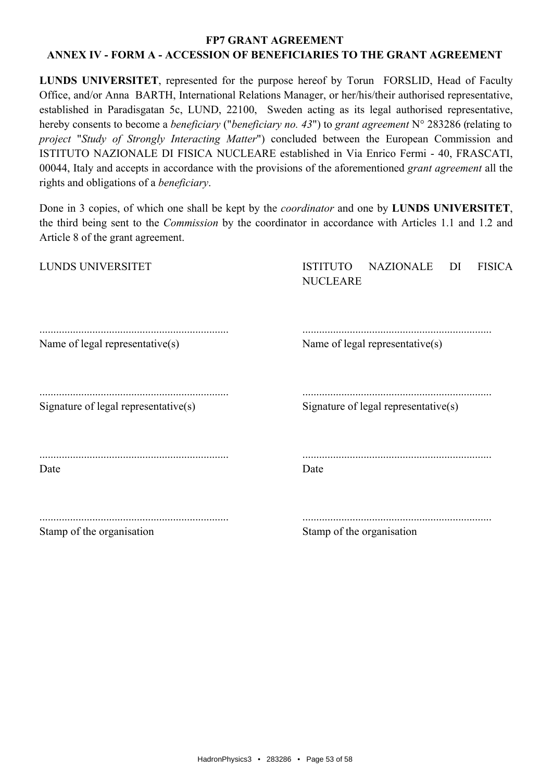LUNDS UNIVERSITET, represented for the purpose hereof by Torun FORSLID, Head of Faculty Office, and/or Anna BARTH, International Relations Manager, or her/his/their authorised representative, established in Paradisgatan 5c, LUND, 22100, Sweden acting as its legal authorised representative, hereby consents to become a *beneficiary* ("*beneficiary no. 43*") to grant agreement N° 283286 (relating to project "Study of Strongly Interacting Matter") concluded between the European Commission and ISTITUTO NAZIONALE DI FISICA NUCLEARE established in Via Enrico Fermi - 40, FRASCATI, 00044, Italy and accepts in accordance with the provisions of the aforementioned grant agreement all the rights and obligations of a *beneficiary*.

Done in 3 copies, of which one shall be kept by the *coordinator* and one by **LUNDS UNIVERSITET**, the third being sent to the *Commission* by the coordinator in accordance with Articles 1.1 and 1.2 and Article 8 of the grant agreement.

| LUNDS UNIVERSITET                    | <b>NAZIONALE</b><br><b>FISICA</b><br><b>ISTITUTO</b><br>DI<br><b>NUCLEARE</b> |
|--------------------------------------|-------------------------------------------------------------------------------|
| Name of legal representative(s)      | Name of legal representative(s)                                               |
| Signature of legal representative(s) | Signature of legal representative $(s)$                                       |
| Date                                 | Date                                                                          |
| Stamp of the organisation            | Stamp of the organisation                                                     |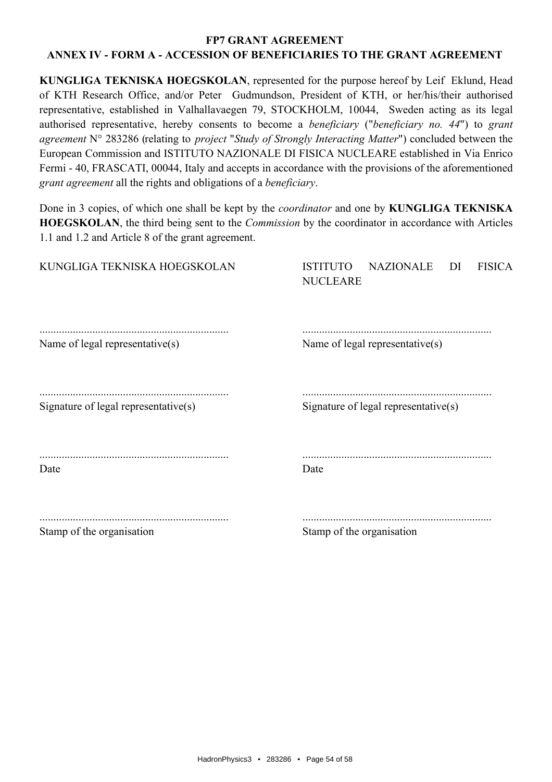KUNGLIGA TEKNISKA HOEGSKOLAN, represented for the purpose hereof by Leif Eklund, Head of KTH Research Office, and/or Peter Gudmundson, President of KTH, or her/his/their authorised representative, established in Valhallavaegen 79, STOCKHOLM, 10044, Sweden acting as its legal authorised representative, hereby consents to become a *beneficiary* ("*beneficiary no. 44*") to grant agreement N° 283286 (relating to *project "Study of Strongly Interacting Matter"*) concluded between the European Commission and ISTITUTO NAZIONALE DI FISICA NUCLEARE established in Via Enrico Fermi - 40, FRASCATI, 00044, Italy and accepts in accordance with the provisions of the aforementioned grant agreement all the rights and obligations of a beneficiary.

Done in 3 copies, of which one shall be kept by the *coordinator* and one by **KUNGLIGA TEKNISKA HOEGSKOLAN**, the third being sent to the *Commission* by the coordinator in accordance with Articles 1.1 and 1.2 and Article 8 of the grant agreement.

| KUNGLIGA TEKNISKA HOEGSKOLAN         | <b>NAZIONALE</b><br><b>ISTITUTO</b><br><b>FISICA</b><br>DI<br><b>NUCLEARE</b> |
|--------------------------------------|-------------------------------------------------------------------------------|
| Name of legal representative(s)      | Name of legal representative(s)                                               |
| Signature of legal representative(s) | Signature of legal representative(s)                                          |
| Date                                 | Date                                                                          |
| Stamp of the organisation            | Stamp of the organisation                                                     |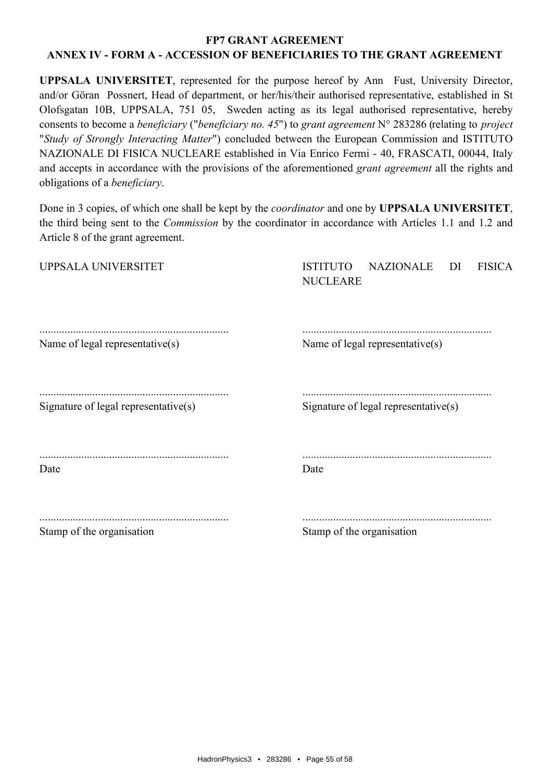**UPPSALA UNIVERSITET**, represented for the purpose hereof by Ann Fust, University Director, and/or Göran Possnert, Head of department, or her/his/their authorised representative, established in St Olofsgatan 10B, UPPSALA, 751 05, Sweden acting as its legal authorised representative, hereby consents to become a *beneficiary* ("*beneficiary no. 45*") to grant agreement  $N^{\circ}$  283286 (relating to *project* "Study of Strongly Interacting Matter") concluded between the European Commission and ISTITUTO NAZIONALE DI FISICA NUCLEARE established in Via Enrico Fermi - 40, FRASCATI, 00044, Italy and accepts in accordance with the provisions of the aforementioned *grant agreement* all the rights and obligations of a *beneficiary*.

Done in 3 copies, of which one shall be kept by the *coordinator* and one by **UPPSALA UNIVERSITET**, the third being sent to the *Commission* by the coordinator in accordance with Articles 1.1 and 1.2 and Article 8 of the grant agreement.

| Stamp of the organisation            | Stamp of the organisation                                                     |
|--------------------------------------|-------------------------------------------------------------------------------|
| Date                                 | Date                                                                          |
| Signature of legal representative(s) | Signature of legal representative(s)                                          |
| Name of legal representative(s)      | Name of legal representative(s)                                               |
| UPPSALA UNIVERSITET                  | <b>ISTITUTO</b><br><b>NAZIONALE</b><br><b>FISICA</b><br>DI<br><b>NUCLEARE</b> |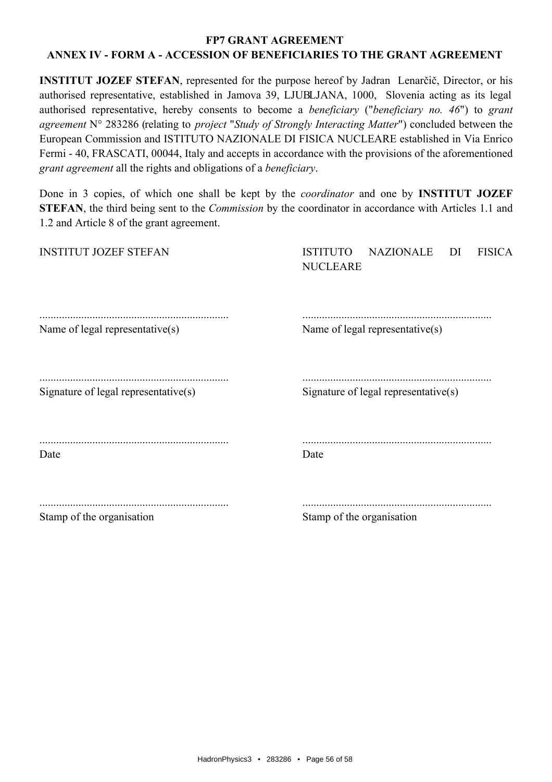**INSTITUT JOZEF STEFAN, represented for the purpose hereof by Jadran** Lenarčič, Director, or his authorised representative, established in Jamova 39, LJUBLJANA, 1000, Slovenia acting as its legal authorised representative, hereby consents to become a *beneficiary* ("*beneficiary no. 46*") to grant agreement N° 283286 (relating to *project "Study of Strongly Interacting Matter"*) concluded between the European Commission and ISTITUTO NAZIONALE DI FISICA NUCLEARE established in Via Enrico Fermi - 40, FRASCATI, 00044, Italy and accepts in accordance with the provisions of the aforementioned grant agreement all the rights and obligations of a beneficiary.

Done in 3 copies, of which one shall be kept by the *coordinator* and one by **INSTITUT JOZEF** STEFAN, the third being sent to the *Commission* by the coordinator in accordance with Articles 1.1 and 1.2 and Article 8 of the grant agreement.

| <b>INSTITUT JOZEF STEFAN</b>         | NAZIONALE<br><b>ISTITUTO</b><br><b>FISICA</b><br>DI<br><b>NUCLEARE</b> |
|--------------------------------------|------------------------------------------------------------------------|
| Name of legal representative(s)      | Name of legal representative(s)                                        |
| Signature of legal representative(s) | Signature of legal representative(s)                                   |
| Date                                 | Date                                                                   |
| $\alpha$ $\alpha$ $\alpha$ $\alpha$  | $\alpha$ $\alpha$ $\alpha$                                             |

Stamp of the organisation

Stamp of the organisation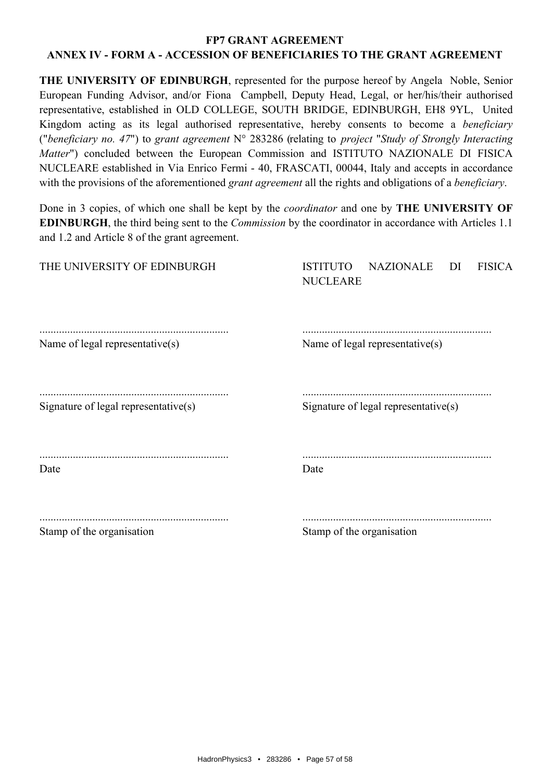THE UNIVERSITY OF EDINBURGH, represented for the purpose hereof by Angela Noble, Senior European Funding Advisor, and/or Fiona Campbell, Deputy Head, Legal, or her/his/their authorised representative, established in OLD COLLEGE, SOUTH BRIDGE, EDINBURGH, EH8 9YL, United Kingdom acting as its legal authorised representative, hereby consents to become a *beneficiary* ("beneficiary no. 47") to grant agreement  $N^{\circ}$  283286 (relating to project "Study of Strongly Interacting Matter") concluded between the European Commission and ISTITUTO NAZIONALE DI FISICA NUCLEARE established in Via Enrico Fermi - 40, FRASCATI, 00044, Italy and accepts in accordance with the provisions of the aforementioned *grant agreement* all the rights and obligations of a *beneficiary*.

Done in 3 copies, of which one shall be kept by the *coordinator* and one by **THE UNIVERSITY OF EDINBURGH**, the third being sent to the *Commission* by the coordinator in accordance with Articles 1.1 and 1.2 and Article 8 of the grant agreement.

| THE UNIVERSITY OF EDINBURGH          | <b>NAZIONALE</b><br><b>FISICA</b><br><b>ISTITUTO</b><br>DI<br><b>NUCLEARE</b> |
|--------------------------------------|-------------------------------------------------------------------------------|
| Name of legal representative(s)      | Name of legal representative(s)                                               |
| Signature of legal representative(s) | Signature of legal representative(s)                                          |
| Date                                 | Date                                                                          |
| Stamp of the organisation            | Stamp of the organisation                                                     |